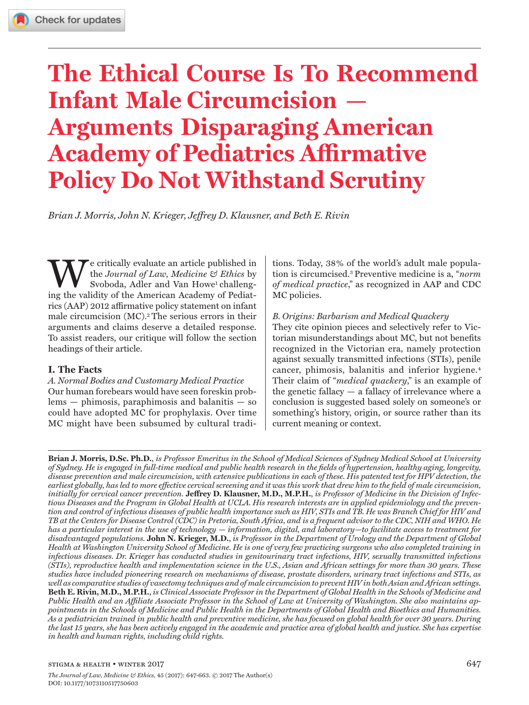# **The Ethical Course Is To Recommend Infant Male Circumcision Arguments Disparaging American Academy of Pediatrics Affirmative Policy Do Not Withstand Scrutiny**

*Brian J. Morris, John N. Krieger, Jeffrey D. Klausner, and Beth E. Rivin*

We critically evaluate an article published in the *Journal of Law, Medicine & Ethics* by Svoboda, Adler and Van Howe<sup>1</sup> challenging the validity of the American Academy of Pediatrics (AAP) 2012 affirmative policy statement on infant male circumcision (MC).2 The serious errors in their arguments and claims deserve a detailed response. To assist readers, our critique will follow the section headings of their article.

# **I. The Facts**

*A. Normal Bodies and Customary Medical Practice* Our human forebears would have seen foreskin problems — phimosis, paraphimosis and balanitis — so could have adopted MC for prophylaxis. Over time MC might have been subsumed by cultural tradi-

tions. Today, 38% of the world's adult male population is circumcised.3 Preventive medicine is a, "*norm of medical practice*," as recognized in AAP and CDC MC policies.

# *B. Origins: Barbarism and Medical Quackery*

They cite opinion pieces and selectively refer to Victorian misunderstandings about MC, but not benefits recognized in the Victorian era, namely protection against sexually transmitted infections (STIs), penile cancer, phimosis, balanitis and inferior hygiene.<sup>4</sup> Their claim of "*medical quackery*," is an example of the genetic fallacy — a fallacy of irrelevance where a conclusion is suggested based solely on someone's or something's history, origin, or source rather than its current meaning or context.

**Brian J. Morris, D.Sc. Ph.D.**, *is Professor Emeritus in the School of Medical Sciences of Sydney Medical School at University of Sydney. He is engaged in full-time medical and public health research in the fields of hypertension, healthy aging, longevity, disease prevention and male circumcision, with extensive publications in each of these. His patented test for HPV detection, the earliest globally, has led to more effective cervical screening and it was this work that drew him to the field of male circumcision, initially for cervical cancer prevention.* **Jeffrey D. Klausner, M.D., M.P.H.**, *is Professor of Medicine in the Division of Infectious Diseases and the Program in Global Health at UCLA. His research interests are in applied epidemiology and the prevention and control of infectious diseases of public health importance such as HIV, STIs and TB. He was Branch Chief for HIV and TB at the Centers for Disease Control (CDC) in Pretoria, South Africa, and is a frequent advisor to the CDC, NIH and WHO. He has a particular interest in the use of technology — information, digital, and laboratory—to facilitate access to treatment for disadvantaged populations.* **John N. Krieger, M.D.**, *is Professor in the Department of Urology and the Department of Global Health at Washington University School of Medicine. He is one of very few practicing surgeons who also completed training in infectious diseases. Dr. Krieger has conducted studies in genitourinary tract infections, HIV, sexually transmitted infections (STIs), reproductive health and implementation science in the U.S., Asian and African settings for more than 30 years. These studies have included pioneering research on mechanisms of disease, prostate disorders, urinary tract infections and STIs, as well as comparative studies of vasectomy techniques and of male circumcision to prevent HIV in both Asian and African settings.*  **Beth E. Rivin, M.D., M.P.H.**, *is Clinical Associate Professor in the Department of Global Health in the Schools of Medicine and Public Health and an Affiliate Associate Professor in the School of Law at University of Washington. She also maintains appointments in the Schools of Medicine and Public Health in the Departments of Global Health and Bioethics and Humanities. As a pediatrician trained in public health and preventive medicine, she has focused on global health for over 30 years. During the last 15 years, she has been actively engaged in the academic and practice area of global health and justice. She has expertise in health and human rights, including child rights.*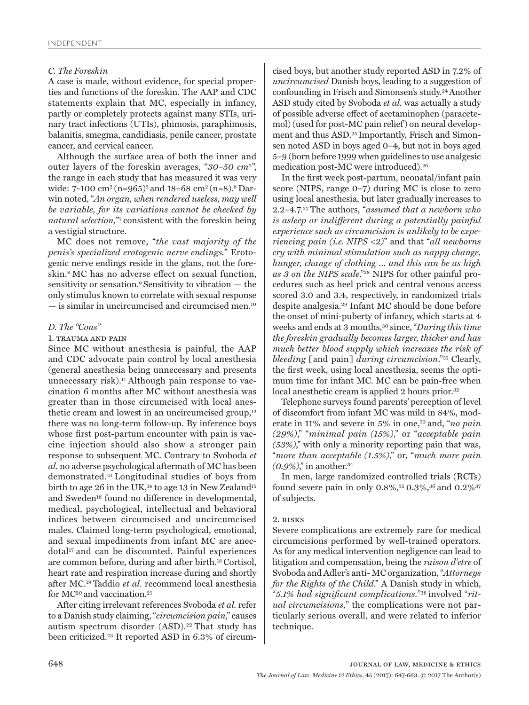## *C. The Foreskin*

A case is made, without evidence, for special properties and functions of the foreskin. The AAP and CDC statements explain that MC, especially in infancy, partly or completely protects against many STIs, urinary tract infections (UTIs), phimosis, paraphimosis, balanitis, smegma, candidiasis, penile cancer, prostate cancer, and cervical cancer.

Although the surface area of both the inner and outer layers of the foreskin averages, "*30–50 cm*2", the range in each study that has measured it was very wide: 7–100 cm<sup>2</sup> (n=965)<sup>5</sup> and 18–68 cm<sup>2</sup> (n=8).<sup>6</sup> Darwin noted, "*An organ, when rendered useless, may well be variable, for its variations cannot be checked by natural selection,*"7 consistent with the foreskin being a vestigial structure.

MC does not remove, "*the vast majority of the penis's specialized erotogenic nerve endings.*" Erotogenic nerve endings reside in the glans, not the foreskin.8 MC has no adverse effect on sexual function, sensitivity or sensation.9 Sensitivity to vibration — the only stimulus known to correlate with sexual response — is similar in uncircumcised and circumcised men.10

## *D. The "Cons"*

#### 1. trauma and pain

Since MC without anesthesia is painful, the AAP and CDC advocate pain control by local anesthesia (general anesthesia being unnecessary and presents unnecessary risk).<sup>11</sup> Although pain response to vaccination 6 months after MC without anesthesia was greater than in those circumcised with local anesthetic cream and lowest in an uncircumcised group,12 there was no long-term follow-up. By inference boys whose first post-partum encounter with pain is vaccine injection should also show a stronger pain response to subsequent MC. Contrary to Svoboda *et al*. no adverse psychological aftermath of MC has been demonstrated.13 Longitudinal studies of boys from birth to age 26 in the UK, $^{14}$  to age 13 in New Zealand<sup>15</sup> and Sweden<sup>16</sup> found no difference in developmental, medical, psychological, intellectual and behavioral indices between circumcised and uncircumcised males. Claimed long-term psychological, emotional, and sexual impediments from infant MC are anecdotal<sup>17</sup> and can be discounted. Painful experiences are common before, during and after birth.18 Cortisol, heart rate and respiration increase during and shortly after MC.19 Taddio *et al*. recommend local anesthesia for MC<sup>20</sup> and vaccination.<sup>21</sup>

After citing irrelevant references Svoboda *et al.* refer to a Danish study claiming, "*circumcision pain*," causes autism spectrum disorder (ASD).22 That study has been criticized.23 It reported ASD in 6.3% of circum-

cised boys, but another study reported ASD in 7.2% of *uncircumcised* Danish boys, leading to a suggestion of confounding in Frisch and Simonsen's study.24 Another ASD study cited by Svoboda *et al*. was actually a study of possible adverse effect of acetaminophen (paracetemol) (used for post-MC pain relief) on neural development and thus ASD.25 Importantly, Frisch and Simonsen noted ASD in boys aged 0–4, but not in boys aged 5–9 (born before 1999 when guidelines to use analgesic medication post-MC were introduced).26

In the first week post-partum, neonatal/infant pain score (NIPS, range 0–7) during MC is close to zero using local anesthesia, but later gradually increases to 2.2–4.7.27 The authors, "*assumed that a newborn who is asleep or indifferent during a potentially painful experience such as circumcision is unlikely to be experiencing pain (i.e. NIPS <2)*" and that "*all newborns cry with minimal stimulation such as nappy change, hunger, change of clothing … and this can be as high as 3 on the NIPS scale*."28 NIPS for other painful procedures such as heel prick and central venous access scored 3.0 and 3.4, respectively, in randomized trials despite analgesia.29 Infant MC should be done before the onset of mini-puberty of infancy, which starts at 4 weeks and ends at 3 months,30 since, "*During this time the foreskin gradually becomes larger, thicker and has much better blood supply which increases the risk of bleeding* [and pain] *during circumcision*."31 Clearly, the first week, using local anesthesia, seems the optimum time for infant MC. MC can be pain-free when local anesthetic cream is applied 2 hours prior.<sup>32</sup>

Telephone surveys found parents' perception of level of discomfort from infant MC was mild in 84%, moderate in 11% and severe in 5% in one,33 and, "*no pain (29%)*," "*minimal pain (15%)*," or "*acceptable pain (53%)*," with only a minority reporting pain that was, "*more than acceptable (1.5%)*," or, "*much more pain (0.9%)*," in another.34

In men, large randomized controlled trials (RCTs) found severe pain in only 0.8%,<sup>35</sup> 0.3%,<sup>36</sup> and 0.2%<sup>37</sup> of subjects.

## 2. risks

Severe complications are extremely rare for medical circumcisions performed by well-trained operators. As for any medical intervention negligence can lead to litigation and compensation, being the *raison d'etre* of Svoboda and Adler's anti- MC organization, "*Attorneys for the Rights of the Child*." A Danish study in which, "*5.1% had significant complications.*"38 involved "*ritual circumcisions,*" the complications were not particularly serious overall, and were related to inferior technique.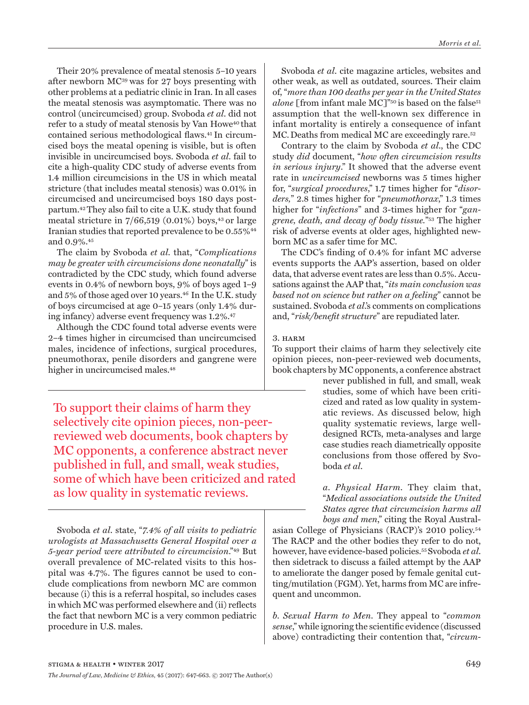Their 20% prevalence of meatal stenosis 5–10 years after newborn MC39 was for 27 boys presenting with other problems at a pediatric clinic in Iran. In all cases the meatal stenosis was asymptomatic. There was no control (uncircumcised) group. Svoboda *et al*. did not refer to a study of meatal stenosis by Van Howe<sup>40</sup> that contained serious methodological flaws.41 In circumcised boys the meatal opening is visible, but is often invisible in uncircumcised boys. Svoboda *et al*. fail to cite a high-quality CDC study of adverse events from 1.4 million circumcisions in the US in which meatal stricture (that includes meatal stenosis) was 0.01% in circumcised and uncircumcised boys 180 days postpartum.42 They also fail to cite a U.K. study that found meatal stricture in  $7/66,519$  (0.01%) boys,<sup>43</sup> or large Iranian studies that reported prevalence to be 0.55%44 and 0.9%.45

The claim by Svoboda *et al.* that, "*Complications may be greater with circumcisions done neonatally*" is contradicted by the CDC study, which found adverse events in 0.4% of newborn boys, 9% of boys aged 1–9 and 5% of those aged over 10 years.<sup>46</sup> In the U.K. study of boys circumcised at age 0–15 years (only 1.4% during infancy) adverse event frequency was 1.2%.47

Although the CDC found total adverse events were 2–4 times higher in circumcised than uncircumcised males, incidence of infections, surgical procedures, pneumothorax, penile disorders and gangrene were higher in uncircumcised males.<sup>48</sup>

To support their claims of harm they selectively cite opinion pieces, non-peerreviewed web documents, book chapters by MC opponents, a conference abstract never published in full, and small, weak studies, some of which have been criticized and rated as low quality in systematic reviews.

Svoboda *et al*. state, "*7.4% of all visits to pediatric urologists at Massachusetts General Hospital over a 5-year period were attributed to circumcision*."49 But overall prevalence of MC-related visits to this hospital was 4.7%. The figures cannot be used to conclude complications from newborn MC are common because (i) this is a referral hospital, so includes cases in which MC was performed elsewhere and (ii) reflects the fact that newborn MC is a very common pediatric procedure in U.S. males.

Svoboda *et al*. cite magazine articles, websites and other weak, as well as outdated, sources. Their claim of, "*more than 100 deaths per year in the United States alone* [from infant male MC]"<sup>50</sup> is based on the false<sup>51</sup> assumption that the well-known sex difference in infant mortality is entirely a consequence of infant MC. Deaths from medical MC are exceedingly rare.<sup>52</sup>

Contrary to the claim by Svoboda *et al*., the CDC study *did* document, "*how often circumcision results in serious injury*." It showed that the adverse event rate in *uncircumcised* newborns was 5 times higher for, "*surgical procedures*," 1.7 times higher for "*disorders,*" 2.8 times higher for "*pneumothorax*," 1.3 times higher for "*infections*" and 3-times higher for "*gangrene, death, and decay of body tissue.*"53 The higher risk of adverse events at older ages, highlighted newborn MC as a safer time for MC.

The CDC's finding of 0.4% for infant MC adverse events supports the AAP's assertion, based on older data, that adverse event rates are less than 0.5%. Accusations against the AAP that, "*its main conclusion was based not on science but rather on a feeling*" cannot be sustained. Svoboda *et al*.'s comments on complications and, "*risk/benefit structure*" are repudiated later.

# 3. HARM

To support their claims of harm they selectively cite opinion pieces, non-peer-reviewed web documents, book chapters by MC opponents, a conference abstract

never published in full, and small, weak studies, some of which have been criticized and rated as low quality in systematic reviews. As discussed below, high quality systematic reviews, large welldesigned RCTs, meta-analyses and large case studies reach diametrically opposite conclusions from those offered by Svoboda *et al*.

*a. Physical Harm.* They claim that, "*Medical associations outside the United States agree that circumcision harms all boys and men*," citing the Royal Austral-

asian College of Physicians (RACP)'s 2010 policy.54 The RACP and the other bodies they refer to do not, however, have evidence-based policies.55 Svoboda *et al*. then sidetrack to discuss a failed attempt by the AAP to ameliorate the danger posed by female genital cutting/mutilation (FGM). Yet, harms from MC are infrequent and uncommon.

*b. Sexual Harm to Men.* They appeal to "*common sense*," while ignoring the scientific evidence (discussed above) contradicting their contention that, "*circum-*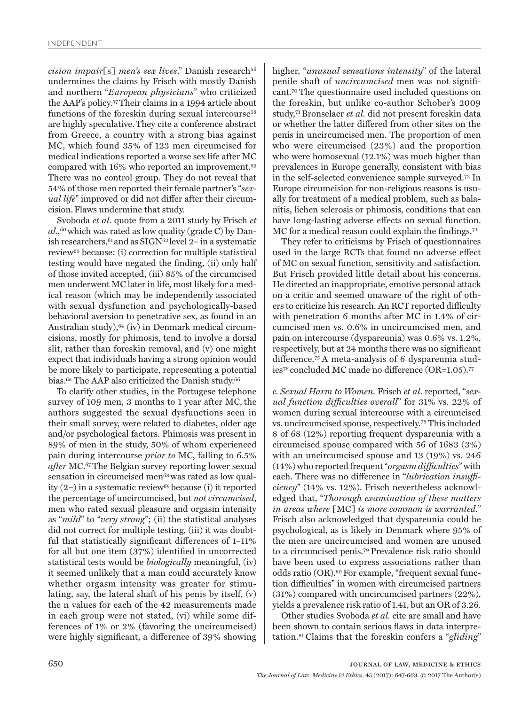*cision impair*[s] *men's sex lives.*" Danish research<sup>56</sup> undermines the claims by Frisch with mostly Danish and northern "*European physicians*" who criticized the AAP's policy.57 Their claims in a 1994 article about functions of the foreskin during sexual intercourse<sup>58</sup> are highly speculative.They cite a conference abstract from Greece, a country with a strong bias against MC, which found 35% of 123 men circumcised for medical indications reported a worse sex life after MC compared with 16% who reported an improvement.59 There was no control group. They do not reveal that 54% of those men reported their female partner's "*sexual life*" improved or did not differ after their circumcision.Flaws undermine that study.

Svoboda *et al*. quote from a 2011 study by Frisch *et*   $al$ ,<sup>60</sup> which was rated as low quality (grade C) by Danish researchers,  $61$  and as SIGN $62$  level 2– in a systematic review63 because: (i) correction for multiple statistical testing would have negated the finding, (ii) only half of those invited accepted, (iii) 85% of the circumcised men underwent MC later in life, most likely for a medical reason (which may be independently associated with sexual dysfunction and psychologically-based behavioral aversion to penetrative sex, as found in an Australian study), <sup>64</sup> (iv) in Denmark medical circumcisions, mostly for phimosis, tend to involve a dorsal slit, rather than foreskin removal, and (v) one might expect that individuals having a strong opinion would be more likely to participate, representing a potential bias.<sup>65</sup> The AAP also criticized the Danish study.<sup>66</sup>

To clarify other studies, in the Portugese telephone survey of 109 men, 3 months to 1 year after MC, the authors suggested the sexual dysfunctions seen in their small survey, were related to diabetes, older age and/or psychological factors. Phimosis was present in 89% of men in the study, 50% of whom experienced pain during intercourse *prior to* MC, falling to 6.5% *after* MC.67 The Belgian survey reporting lower sexual sensation in circumcised men<sup>68</sup> was rated as low quality (2–) in a systematic review69 because (i) it reported the percentage of uncircumcised, but *not circumcised*, men who rated sexual pleasure and orgasm intensity as "*mild*" to "*very strong*"; (ii) the statistical analyses did not correct for multiple testing, (iii) it was doubtful that statistically significant differences of 1–11% for all but one item (37%) identified in uncorrected statistical tests would be *biologically* meaningful, (iv) it seemed unlikely that a man could accurately know whether orgasm intensity was greater for stimulating, say, the lateral shaft of his penis by itself, (v) the n values for each of the 42 measurements made in each group were not stated, (vi) while some differences of 1% or 2% (favoring the uncircumcised) were highly significant, a difference of 39% showing

higher, "*unusual sensations intensity*" of the lateral penile shaft of *uncircumcised* men was not significant.70 The questionnaire used included questions on the foreskin, but unlike co-author Schober's 2009 study,71 Bronselaer *et al.* did not present foreskin data or whether the latter differed from other sites on the penis in uncircumcised men. The proportion of men who were circumcised (23%) and the proportion who were homosexual (12.1%) was much higher than prevalences in Europe generally, consistent with bias in the self-selected convenience sample surveyed.72 In Europe circumcision for non-religious reasons is usually for treatment of a medical problem, such as balanitis, lichen sclerosis or phimosis, conditions that can have long-lasting adverse effects on sexual function. MC for a medical reason could explain the findings.74

They refer to criticisms by Frisch of questionnaires used in the large RCTs that found no adverse effect of MC on sexual function, sensitivity and satisfaction. But Frisch provided little detail about his concerns. He directed an inappropriate, emotive personal attack on a critic and seemed unaware of the right of others to criticize his research. An RCT reported difficulty with penetration 6 months after MC in 1.4% of circumcised men vs. 0.6% in uncircumcised men, and pain on intercourse (dyspareunia) was 0.6% vs. 1.2%, respectively, but at 24 months there was no significant difference.75 A meta-analysis of 6 dyspareunia studies76 concluded MC made no difference (OR=1.05).77

*c. Sexual Harm to Women.* Frisch *et al*. reported, "*sexual function difficulties overall*" for 31% vs. 22% of women during sexual intercourse with a circumcised vs. uncircumcised spouse, respectively.78 This included 8 of 68 (12%) reporting frequent dyspareunia with a circumcised spouse compared with 56 of 1683 (3%) with an uncircumcised spouse and 13 (19%) vs. 246 (14%) who reported frequent "*orgasm difficulties*" with each. There was no difference in "*lubrication insufficiency*" (14% vs. 12%). Frisch nevertheless acknowledged that, "*Thorough examination of these matters in areas where* [MC] *is more common is warranted.*" Frisch also acknowledged that dyspareunia could be psychological, as is likely in Denmark where 95% of the men are uncircumcised and women are unused to a circumcised penis.79 Prevalence risk ratio should have been used to express associations rather than odds ratio (OR).80 For example, "frequent sexual function difficulties" in women with circumcised partners (31%) compared with uncircumcised partners (22%), yields a prevalence risk ratio of 1.41, but an OR of 3.26.

Other studies Svoboda *et al.* cite are small and have been shown to contain serious flaws in data interpretation.81 Claims that the foreskin confers a "*gliding*"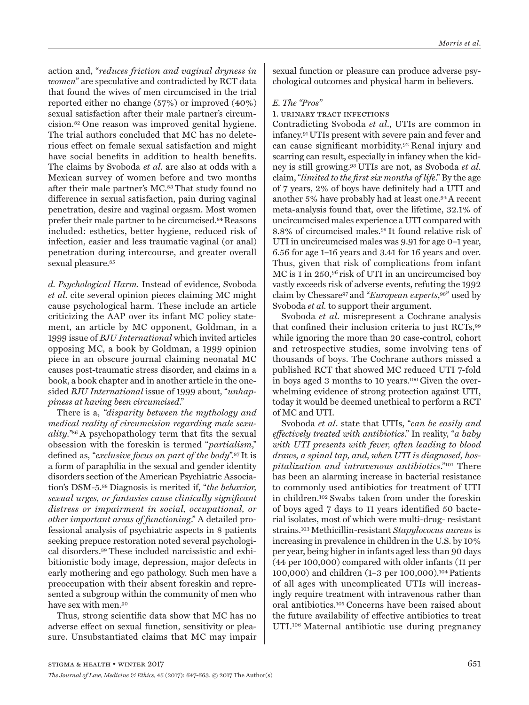action and, "*reduces friction and vaginal dryness in women*" are speculative and contradicted by RCT data that found the wives of men circumcised in the trial reported either no change (57%) or improved (40%) sexual satisfaction after their male partner's circumcision.82 One reason was improved genital hygiene. The trial authors concluded that MC has no deleterious effect on female sexual satisfaction and might have social benefits in addition to health benefits. The claims by Svoboda *et al.* are also at odds with a Mexican survey of women before and two months after their male partner's MC.<sup>83</sup> That study found no difference in sexual satisfaction, pain during vaginal penetration, desire and vaginal orgasm. Most women prefer their male partner to be circumcised.<sup>84</sup> Reasons included: esthetics, better hygiene, reduced risk of infection, easier and less traumatic vaginal (or anal) penetration during intercourse, and greater overall sexual pleasure.<sup>85</sup>

*d. Psychological Harm.* Instead of evidence, Svoboda *et al.* cite several opinion pieces claiming MC might cause psychological harm. These include an article criticizing the AAP over its infant MC policy statement, an article by MC opponent, Goldman, in a 1999 issue of *BJU International* which invited articles opposing MC, a book by Goldman, a 1999 opinion piece in an obscure journal claiming neonatal MC causes post-traumatic stress disorder, and claims in a book, a book chapter and in another article in the onesided *BJU International* issue of 1999 about, "*unhappiness at having been circumcised*."

There is a, *"disparity between the mythology and medical reality of circumcision regarding male sexuality."*86 A psychopathology term that fits the sexual obsession with the foreskin is termed "*partialism*," defined as, "*exclusive focus on part of the body*".87 It is a form of paraphilia in the sexual and gender identity disorders section of the American Psychiatric Association's DSM-5.88 Diagnosis is merited if, "*the behavior, sexual urges, or fantasies cause clinically significant distress or impairment in social, occupational, or other important areas of functioning*." A detailed professional analysis of psychiatric aspects in 8 patients seeking prepuce restoration noted several psychological disorders.89 These included narcissistic and exhibitionistic body image, depression, major defects in early mothering and ego pathology. Such men have a preoccupation with their absent foreskin and represented a subgroup within the community of men who have sex with men.<sup>90</sup>

Thus, strong scientific data show that MC has no adverse effect on sexual function, sensitivity or pleasure. Unsubstantiated claims that MC may impair

sexual function or pleasure can produce adverse psychological outcomes and physical harm in believers.

## *E. The "Pros"*

#### 1. urinary tract infections

Contradicting Svoboda *et al*., UTIs are common in infancy.91 UTIs present with severe pain and fever and can cause significant morbidity.92 Renal injury and scarring can result, especially in infancy when the kidney is still growing.93 UTIs are not, as Svoboda *et al*. claim, "*limited to the first six months of life*." By the age of 7 years, 2% of boys have definitely had a UTI and another 5% have probably had at least one.94 A recent meta-analysis found that, over the lifetime, 32.1% of uncircumcised males experience a UTI compared with 8.8% of circumcised males.95 It found relative risk of UTI in uncircumcised males was 9.91 for age 0–1 year, 6.56 for age 1–16 years and 3.41 for 16 years and over. Thus, given that risk of complications from infant MC is 1 in 250,96 risk of UTI in an uncircumcised boy vastly exceeds risk of adverse events, refuting the 1992 claim by Chessare97 and "*European experts*, 98" used by Svoboda *et al.* to support their argument.

Svoboda *et al*. misrepresent a Cochrane analysis that confined their inclusion criteria to just RCTs,99 while ignoring the more than 20 case-control, cohort and retrospective studies, some involving tens of thousands of boys. The Cochrane authors missed a published RCT that showed MC reduced UTI 7-fold in boys aged 3 months to 10 years.100 Given the overwhelming evidence of strong protection against UTI, today it would be deemed unethical to perform a RCT of MC and UTI.

Svoboda *et al*. state that UTIs, "*can be easily and effectively treated with antibiotics*." In reality, "*a baby with UTI presents with fever, often leading to blood draws, a spinal tap, and, when UTI is diagnosed, hospitalization and intravenous antibiotics*."101 There has been an alarming increase in bacterial resistance to commonly used antibiotics for treatment of UTI in children.102 Swabs taken from under the foreskin of boys aged 7 days to 11 years identified 50 bacterial isolates, most of which were multi-drug- resistant strains.103 Methicillin-resistant *Stapylococus aureus* is increasing in prevalence in children in the U.S. by 10% per year, being higher in infants aged less than 90 days (44 per 100,000) compared with older infants (11 per 100,000) and children (1–3 per 100,000).104 Patients of all ages with uncomplicated UTIs will increasingly require treatment with intravenous rather than oral antibiotics.105 Concerns have been raised about the future availability of effective antibiotics to treat UTI.106 Maternal antibiotic use during pregnancy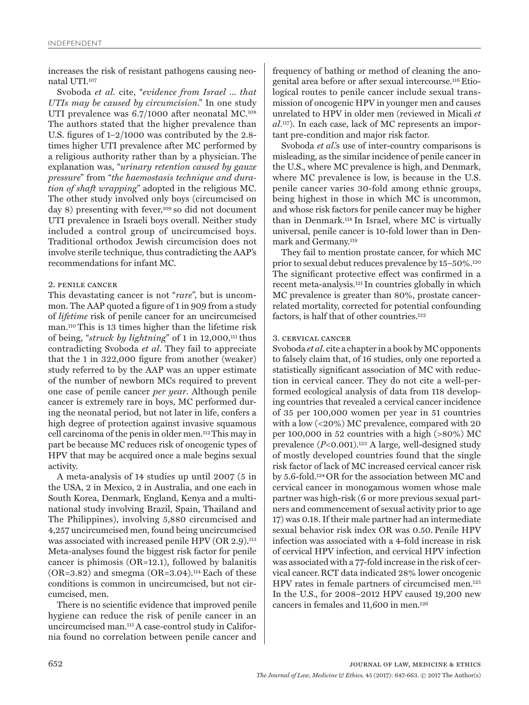increases the risk of resistant pathogens causing neonatal UTI.107

Svoboda *et al.* cite, "*evidence from Israel ... that UTIs may be caused by circumcision*." In one study UTI prevalence was 6.7/1000 after neonatal MC.<sup>108</sup> The authors stated that the higher prevalence than U.S. figures of 1–2/1000 was contributed by the 2.8 times higher UTI prevalence after MC performed by a religious authority rather than by a physician. The explanation was, "*urinary retention caused by gauze pressure*" from "*the haemostasis technique and duration of shaft wrapping*" adopted in the religious MC. The other study involved only boys (circumcised on day 8) presenting with fever,<sup>109</sup> so did not document UTI prevalence in Israeli boys overall. Neither study included a control group of uncircumcised boys. Traditional orthodox Jewish circumcision does not involve sterile technique, thus contradicting the AAP's recommendations for infant MC.

## 2. penile cancer

This devastating cancer is not "*rare*", but is uncommon. The AAP quoted a figure of 1 in 909 from a study of *lifetime* risk of penile cancer for an uncircumcised man.110 This is 13 times higher than the lifetime risk of being, "*struck by lightning*" of 1 in 12,000,<sup>111</sup> thus contradicting Svoboda *et al*. They fail to appreciate that the 1 in 322,000 figure from another (weaker) study referred to by the AAP was an upper estimate of the number of newborn MCs required to prevent one case of penile cancer *per year*. Although penile cancer is extremely rare in boys, MC performed during the neonatal period, but not later in life, confers a high degree of protection against invasive squamous cell carcinoma of the penis in older men.112 This may in part be because MC reduces risk of oncogenic types of HPV that may be acquired once a male begins sexual activity.

A meta-analysis of 14 studies up until 2007 (5 in the USA, 2 in Mexico, 2 in Australia, and one each in South Korea, Denmark, England, Kenya and a multinational study involving Brazil, Spain, Thailand and The Philippines), involving 5,880 circumcised and 4,257 uncircumcised men, found being uncircumcised was associated with increased penile HPV (OR 2.9).<sup>113</sup> Meta-analyses found the biggest risk factor for penile cancer is phimosis (OR=12.1), followed by balanitis  $(OR=3.82)$  and smegma  $(OR=3.04)$ .<sup>114</sup> Each of these conditions is common in uncircumcised, but not circumcised, men.

There is no scientific evidence that improved penile hygiene can reduce the risk of penile cancer in an uncircumcised man.115 A case-control study in California found no correlation between penile cancer and

frequency of bathing or method of cleaning the anogenital area before or after sexual intercourse.116 Etiological routes to penile cancer include sexual transmission of oncogenic HPV in younger men and causes unrelated to HPV in older men (reviewed in Micali *et al*. 117). In each case, lack of MC represents an important pre-condition and major risk factor.

Svoboda *et al*.'s use of inter-country comparisons is misleading, as the similar incidence of penile cancer in the U.S., where MC prevalence is high, and Denmark, where MC prevalence is low, is because in the U.S. penile cancer varies 30-fold among ethnic groups, being highest in those in which MC is uncommon, and whose risk factors for penile cancer may be higher than in Denmark.118 In Israel, where MC is virtually universal, penile cancer is 10-fold lower than in Denmark and Germany.119

They fail to mention prostate cancer, for which MC prior to sexual debut reduces prevalence by 15–50%.120 The significant protective effect was confirmed in a recent meta-analysis.121 In countries globally in which MC prevalence is greater than 80%, prostate cancerrelated mortality, corrected for potential confounding factors, is half that of other countries.122

## 3. cervical cancer

Svoboda *et al*. cite a chapter in a book by MC opponents to falsely claim that, of 16 studies, only one reported a statistically significant association of MC with reduction in cervical cancer. They do not cite a well-performed ecological analysis of data from 118 developing countries that revealed a cervical cancer incidence of 35 per 100,000 women per year in 51 countries with a low (<20%) MC prevalence, compared with 20 per 100,000 in 52 countries with a high  $(>80\%)$  MC prevalence (*P*<0.001).123 A large, well-designed study of mostly developed countries found that the single risk factor of lack of MC increased cervical cancer risk by 5.6-fold.124 OR for the association between MC and cervical cancer in monogamous women whose male partner was high-risk (6 or more previous sexual partners and commencement of sexual activity prior to age 17) was 0.18. If their male partner had an intermediate sexual behavior risk index OR was 0.50. Penile HPV infection was associated with a 4-fold increase in risk of cervical HPV infection, and cervical HPV infection was associated with a 77-fold increase in the risk of cervical cancer.RCT data indicated 28% lower oncogenic HPV rates in female partners of circumcised men.125 In the U.S., for 2008–2012 HPV caused 19,200 new cancers in females and 11,600 in men.126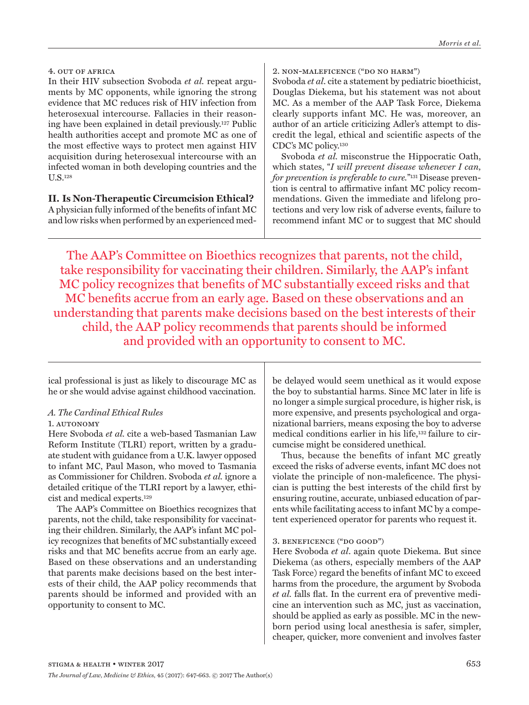In their HIV subsection Svoboda *et al.* repeat arguments by MC opponents, while ignoring the strong evidence that MC reduces risk of HIV infection from heterosexual intercourse. Fallacies in their reasoning have been explained in detail previously.127 Public health authorities accept and promote MC as one of the most effective ways to protect men against HIV acquisition during heterosexual intercourse with an infected woman in both developing countries and the U.S.128

**II. Is Non-Therapeutic Circumcision Ethical?** A physician fully informed of the benefits of infant MC and low risks when performed by an experienced med2. non-maleficence ("do no harm")

Svoboda *et al*. cite a statement by pediatric bioethicist, Douglas Diekema, but his statement was not about MC. As a member of the AAP Task Force, Diekema clearly supports infant MC. He was, moreover, an author of an article criticizing Adler's attempt to discredit the legal, ethical and scientific aspects of the CDC's MC policy.130

Svoboda *et al.* misconstrue the Hippocratic Oath, which states, "*I will prevent disease whenever I can, for prevention is preferable to cure.*"131 Disease prevention is central to affirmative infant MC policy recommendations. Given the immediate and lifelong protections and very low risk of adverse events, failure to recommend infant MC or to suggest that MC should

The AAP's Committee on Bioethics recognizes that parents, not the child, take responsibility for vaccinating their children. Similarly, the AAP's infant MC policy recognizes that benefits of MC substantially exceed risks and that MC benefits accrue from an early age. Based on these observations and an understanding that parents make decisions based on the best interests of their child, the AAP policy recommends that parents should be informed and provided with an opportunity to consent to MC.

ical professional is just as likely to discourage MC as he or she would advise against childhood vaccination.

# *A. The Cardinal Ethical Rules*

# 1. AUTONOMY

Here Svoboda *et al.* cite a web-based Tasmanian Law Reform Institute (TLRI) report, written by a graduate student with guidance from a U.K. lawyer opposed to infant MC, Paul Mason, who moved to Tasmania as Commissioner for Children. Svoboda *et al.* ignore a detailed critique of the TLRI report by a lawyer, ethicist and medical experts.129

The AAP's Committee on Bioethics recognizes that parents, not the child, take responsibility for vaccinating their children. Similarly, the AAP's infant MC policy recognizes that benefits of MC substantially exceed risks and that MC benefits accrue from an early age. Based on these observations and an understanding that parents make decisions based on the best interests of their child, the AAP policy recommends that parents should be informed and provided with an opportunity to consent to MC.

be delayed would seem unethical as it would expose the boy to substantial harms. Since MC later in life is no longer a simple surgical procedure, is higher risk, is more expensive, and presents psychological and organizational barriers, means exposing the boy to adverse medical conditions earlier in his life,132 failure to circumcise might be considered unethical.

Thus, because the benefits of infant MC greatly exceed the risks of adverse events, infant MC does not violate the principle of non-maleficence. The physician is putting the best interests of the child first by ensuring routine, accurate, unbiased education of parents while facilitating access to infant MC by a competent experienced operator for parents who request it.

# 3. beneficence ("do good")

Here Svoboda *et al*. again quote Diekema. But since Diekema (as others, especially members of the AAP Task Force) regard the benefits of infant MC to exceed harms from the procedure, the argument by Svoboda *et al.* falls flat. In the current era of preventive medicine an intervention such as MC, just as vaccination, should be applied as early as possible. MC in the newborn period using local anesthesia is safer, simpler, cheaper, quicker, more convenient and involves faster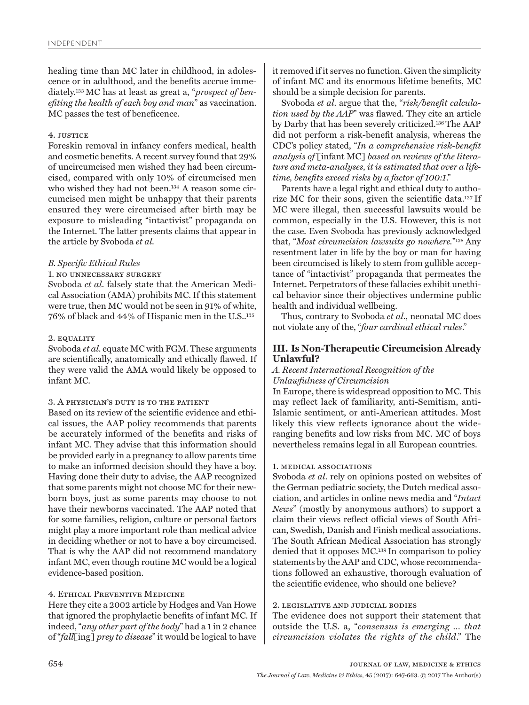healing time than MC later in childhood, in adolescence or in adulthood, and the benefits accrue immediately.133 MC has at least as great a, "*prospect of benefiting the health of each boy and man*" as vaccination. MC passes the test of beneficence.

## 4. justice

Foreskin removal in infancy confers medical, health and cosmetic benefits. A recent survey found that 29% of uncircumcised men wished they had been circumcised, compared with only 10% of circumcised men who wished they had not been.<sup>134</sup> A reason some circumcised men might be unhappy that their parents ensured they were circumcised after birth may be exposure to misleading "intactivist" propaganda on the Internet. The latter presents claims that appear in the article by Svoboda *et al.*

# *B. Specific Ethical Rules*

# 1. no unnecessary surgery

Svoboda *et al*. falsely state that the American Medical Association (AMA) prohibits MC. If this statement were true, then MC would not be seen in 91% of white, 76% of black and 44% of Hispanic men in the U.S..135

# 2. equality

Svoboda *et al*. equate MC with FGM. These arguments are scientifically, anatomically and ethically flawed. If they were valid the AMA would likely be opposed to infant MC.

## 3. A physician's duty is to the patient

Based on its review of the scientific evidence and ethical issues, the AAP policy recommends that parents be accurately informed of the benefits and risks of infant MC. They advise that this information should be provided early in a pregnancy to allow parents time to make an informed decision should they have a boy. Having done their duty to advise, the AAP recognized that some parents might not choose MC for their newborn boys, just as some parents may choose to not have their newborns vaccinated. The AAP noted that for some families, religion, culture or personal factors might play a more important role than medical advice in deciding whether or not to have a boy circumcised. That is why the AAP did not recommend mandatory infant MC, even though routine MC would be a logical evidence-based position.

# 4. Ethical Preventive Medicine

Here they cite a 2002 article by Hodges and Van Howe that ignored the prophylactic benefits of infant MC. If indeed, "*any other part of the body*" had a 1 in 2 chance of "*fall*[ing] *prey to disease*" it would be logical to have

it removed if it serves no function. Given the simplicity of infant MC and its enormous lifetime benefits, MC should be a simple decision for parents.

Svoboda *et al*. argue that the, "*risk/benefit calculation used by the AAP*" was flawed. They cite an article by Darby that has been severely criticized.136 The AAP did not perform a risk-benefit analysis, whereas the CDC's policy stated, "*In a comprehensive risk-benefit analysis of* [infant MC] *based on reviews of the literature and meta-analyses, it is estimated that over a lifetime, benefits exceed risks by a factor of 100:1*."

Parents have a legal right and ethical duty to authorize MC for their sons, given the scientific data.137 If MC were illegal, then successful lawsuits would be common, especially in the U.S. However, this is not the case. Even Svoboda has previously acknowledged that, "*Most circumcision lawsuits go nowhere.*"138 Any resentment later in life by the boy or man for having been circumcised is likely to stem from gullible acceptance of "intactivist" propaganda that permeates the Internet. Perpetrators of these fallacies exhibit unethical behavior since their objectives undermine public health and individual wellbeing.

Thus, contrary to Svoboda *et al*., neonatal MC does not violate any of the, "*four cardinal ethical rules*."

# **III. Is Non-Therapeutic Circumcision Already Unlawful?**

# *A. Recent International Recognition of the Unlawfulness of Circumcision*

In Europe, there is widespread opposition to MC. This may reflect lack of familiarity, anti-Semitism, anti-Islamic sentiment, or anti-American attitudes. Most likely this view reflects ignorance about the wideranging benefits and low risks from MC. MC of boys nevertheless remains legal in all European countries.

# 1. medical associations

Svoboda *et al*. rely on opinions posted on websites of the German pediatric society, the Dutch medical association, and articles in online news media and "*Intact News*" (mostly by anonymous authors) to support a claim their views reflect official views of South African, Swedish, Danish and Finish medical associations. The South African Medical Association has strongly denied that it opposes MC.139 In comparison to policy statements by the AAP and CDC, whose recommendations followed an exhaustive, thorough evaluation of the scientific evidence, who should one believe?

# 2. legislative and judicial bodies

The evidence does not support their statement that outside the U.S. a, "*consensus is emerging … that circumcision violates the rights of the child*." The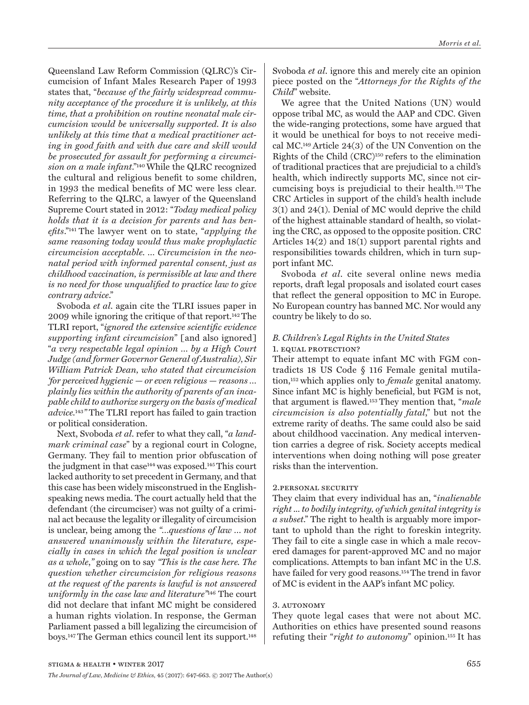Queensland Law Reform Commission (QLRC)'s Circumcision of Infant Males Research Paper of 1993 states that, "*because of the fairly widespread community acceptance of the procedure it is unlikely, at this time, that a prohibition on routine neonatal male circumcision would be universally supported. It is also unlikely at this time that a medical practitioner acting in good faith and with due care and skill would be prosecuted for assault for performing a circumcision on a male infant*."140 While the QLRC recognized the cultural and religious benefit to some children, in 1993 the medical benefits of MC were less clear. Referring to the QLRC, a lawyer of the Queensland Supreme Court stated in 2012: "*Today medical policy holds that it is a decision for parents and has benefits*."141 The lawyer went on to state, "*applying the same reasoning today would thus make prophylactic circumcision acceptable. … Circumcision in the neonatal period with informed parental consent, just as childhood vaccination, is permissible at law and there is no need for those unqualified to practice law to give contrary advice*."

Svoboda *et al*. again cite the TLRI issues paper in 2009 while ignoring the critique of that report.142 The TLRI report, "*ignored the extensive scientific evidence supporting infant circumcision*" [and also ignored] "*a very respectable legal opinion … by a High Court Judge (and former Governor General of Australia), Sir William Patrick Dean, who stated that circumcision 'for perceived hygienic — or even religious — reasons … plainly lies within the authority of parents of an incapable child to authorize surgery on the basis of medical advice.*143*"* The TLRI report has failed to gain traction or political consideration.

Next, Svoboda *et al*. refer to what they call, "*a landmark criminal case*" by a regional court in Cologne, Germany. They fail to mention prior obfuscation of the judgment in that case<sup>144</sup> was exposed.<sup>145</sup> This court lacked authority to set precedent in Germany, and that this case has been widely misconstrued in the Englishspeaking news media. The court actually held that the defendant (the circumciser) was not guilty of a criminal act because the legality or illegality of circumcision is unclear, being among the *"…questions of law … not answered unanimously within the literature, especially in cases in which the legal position is unclear as a whole*,*"* going on to say *"This is the case here. The question whether circumcision for religious reasons at the request of the parents is lawful is not answered uniformly in the case law and literature"*146 The court did not declare that infant MC might be considered a human rights violation. In response, the German Parliament passed a bill legalizing the circumcision of boys.147 The German ethics council lent its support.148

Svoboda *et al*. ignore this and merely cite an opinion piece posted on the "*Attorneys for the Rights of the Child*" website.

We agree that the United Nations (UN) would oppose tribal MC, as would the AAP and CDC. Given the wide-ranging protections, some have argued that it would be unethical for boys to not receive medical MC.149 Article 24(3) of the UN Convention on the Rights of the Child (CRC)150 refers to the elimination of traditional practices that are prejudicial to a child's health, which indirectly supports MC, since not circumcising boys is prejudicial to their health.151 The CRC Articles in support of the child's health include 3(1) and 24(1). Denial of MC would deprive the child of the highest attainable standard of health, so violating the CRC, as opposed to the opposite position. CRC Articles 14(2) and 18(1) support parental rights and responsibilities towards children, which in turn support infant MC.

Svoboda *et al*. cite several online news media reports, draft legal proposals and isolated court cases that reflect the general opposition to MC in Europe. No European country has banned MC. Nor would any country be likely to do so.

# *B. Children's Legal Rights in the United States* 1. equal protection?

Their attempt to equate infant MC with FGM contradicts 18 US Code § 116 Female genital mutilation,152 which applies only to *female* genital anatomy. Since infant MC is highly beneficial, but FGM is not, that argument is flawed.153 They mention that, "*male circumcision is also potentially fatal*," but not the extreme rarity of deaths. The same could also be said about childhood vaccination. Any medical intervention carries a degree of risk. Society accepts medical interventions when doing nothing will pose greater risks than the intervention.

# 2.personal security

They claim that every individual has an, "*inalienable right ... to bodily integrity, of which genital integrity is a subset*." The right to health is arguably more important to uphold than the right to foreskin integrity. They fail to cite a single case in which a male recovered damages for parent-approved MC and no major complications. Attempts to ban infant MC in the U.S. have failed for very good reasons.<sup>154</sup> The trend in favor of MC is evident in the AAP's infant MC policy.

# 3. autonomy

They quote legal cases that were not about MC. Authorities on ethics have presented sound reasons refuting their "*right to autonomy*" opinion.155 It has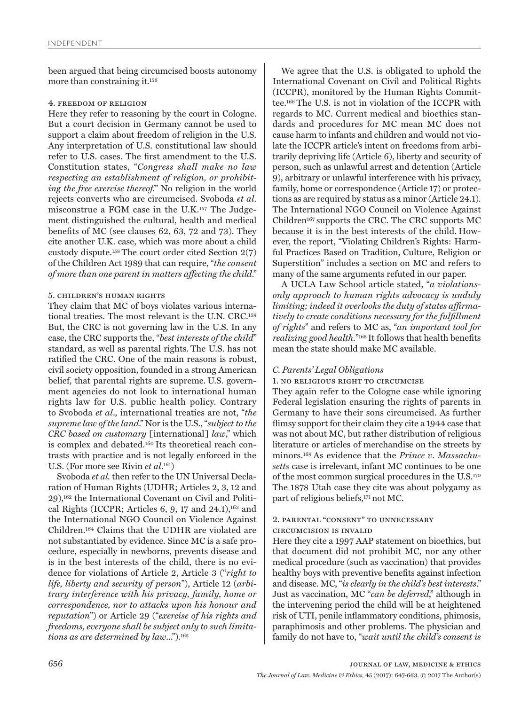been argued that being circumcised boosts autonomy more than constraining it*.* 156

## 4. freedom of religion

Here they refer to reasoning by the court in Cologne. But a court decision in Germany cannot be used to support a claim about freedom of religion in the U.S. Any interpretation of U.S. constitutional law should refer to U.S. cases. The first amendment to the U.S. Constitution states, "*Congress shall make no law respecting an establishment of religion, or prohibiting the free exercise thereof.*" No religion in the world rejects converts who are circumcised. Svoboda *et al*. misconstrue a FGM case in the U.K.157 The Judgement distinguished the cultural, health and medical benefits of MC (see clauses 62, 63, 72 and 73). They cite another U.K. case, which was more about a child custody dispute.158 The court order cited Section 2(7) of the Children Act 1989 that can require, "*the consent of more than one parent in matters affecting the child*."

## 5. children's human rights

They claim that MC of boys violates various international treaties. The most relevant is the U.N. CRC.159 But, the CRC is not governing law in the U.S. In any case, the CRC supports the, "*best interests of the child*" standard, as well as parental rights. The U.S. has not ratified the CRC. One of the main reasons is robust, civil society opposition, founded in a strong American belief, that parental rights are supreme. U.S. government agencies do not look to international human rights law for U.S. public health policy. Contrary to Svoboda *et al*., international treaties are not, "*the supreme law of the land*." Nor is the U.S., "*subject to the CRC based on customary* [international] *law*," which is complex and debated.160 Its theoretical reach contrasts with practice and is not legally enforced in the U.S. (For more see Rivin *et al*. 161)

Svoboda *et al.* then refer to the UN Universal Declaration of Human Rights (UDHR; Articles 2, 3, 12 and 29),162 the International Covenant on Civil and Political Rights (ICCPR; Articles 6, 9, 17 and 24.1),<sup>163</sup> and the International NGO Council on Violence Against Children.164 Claims that the UDHR are violated are not substantiated by evidence. Since MC is a safe procedure, especially in newborns, prevents disease and is in the best interests of the child, there is no evidence for violations of Article 2, Article 3 ("*right to life, liberty and security of person*"), Article 12 (*arbitrary interference with his privacy, family, home or correspondence, nor to attacks upon his honour and reputation*") or Article 29 ("*exercise of his rights and freedoms, everyone shall be subject only to such limitations as are determined by law*...").165

We agree that the U.S. is obligated to uphold the International Covenant on Civil and Political Rights (ICCPR), monitored by the Human Rights Committee.166 The U.S. is not in violation of the ICCPR with regards to MC. Current medical and bioethics standards and procedures for MC mean MC does not cause harm to infants and children and would not violate the ICCPR article's intent on freedoms from arbitrarily depriving life (Article 6), liberty and security of person, such as unlawful arrest and detention (Article 9), arbitrary or unlawful interference with his privacy, family, home or correspondence (Article 17) or protections as are required by status as a minor (Article 24.1). The International NGO Council on Violence Against Children167 supports the CRC. The CRC supports MC because it is in the best interests of the child. However, the report, "Violating Children's Rights: Harmful Practices Based on Tradition, Culture, Religion or Superstition" includes a section on MC and refers to many of the same arguments refuted in our paper.

A UCLA Law School article stated, "*a violationsonly approach to human rights advocacy is unduly limiting; indeed it overlooks the duty of states affirmatively to create conditions necessary for the fulfillment of rights*" and refers to MC as, "*an important tool for realizing good health.*"168 It follows that health benefits mean the state should make MC available.

## *C. Parents' Legal Obligations*

## 1. no religious right to circumcise

They again refer to the Cologne case while ignoring Federal legislation ensuring the rights of parents in Germany to have their sons circumcised. As further flimsy support for their claim they cite a 1944 case that was not about MC, but rather distribution of religious literature or articles of merchandise on the streets by minors.169 As evidence that the *Prince v. Massachusetts* case is irrelevant, infant MC continues to be one of the most common surgical procedures in the U.S.170 The 1878 Utah case they cite was about polygamy as part of religious beliefs,171 not MC.

# 2. parental "consent" to unnecessary

## circumcision is invalid

Here they cite a 1997 AAP statement on bioethics, but that document did not prohibit MC, nor any other medical procedure (such as vaccination) that provides healthy boys with preventive benefits against infection and disease. MC, "*is clearly in the child's best interests*." Just as vaccination, MC "*can be deferred*," although in the intervening period the child will be at heightened risk of UTI, penile inflammatory conditions, phimosis, paraphimosis and other problems. The physician and family do not have to, "*wait until the child's consent is*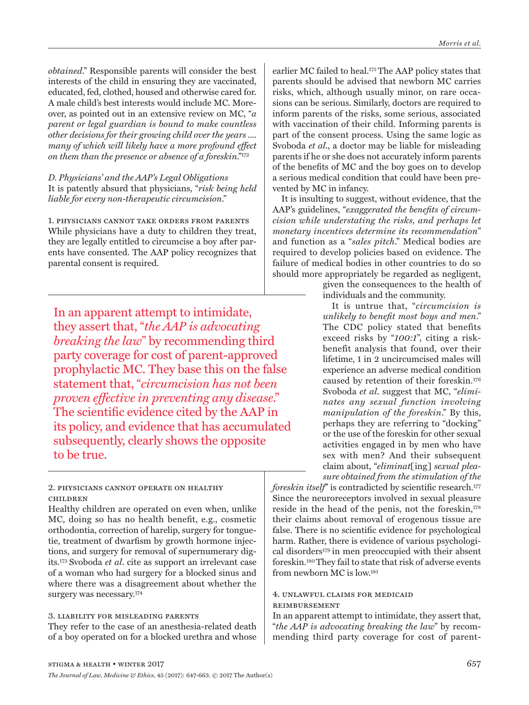*obtained*." Responsible parents will consider the best interests of the child in ensuring they are vaccinated, educated, fed, clothed, housed and otherwise cared for. A male child's best interests would include MC. Moreover, as pointed out in an extensive review on MC, "*a parent or legal guardian is bound to make countless other decisions for their growing child over the years .... many of which will likely have a more profound effect on them than the presence or absence of a foreskin*."172

*D. Physicians' and the AAP's Legal Obligations* It is patently absurd that physicians, "*risk being held liable for every non-therapeutic circumcision*."

1. physicians cannot take orders from parents While physicians have a duty to children they treat, they are legally entitled to circumcise a boy after parents have consented. The AAP policy recognizes that parental consent is required.

In an apparent attempt to intimidate, they assert that, "*the AAP is advocating breaking the law*" by recommending third party coverage for cost of parent-approved prophylactic MC. They base this on the false statement that, "*circumcision has not been proven effective in preventing any disease*." The scientific evidence cited by the AAP in its policy, and evidence that has accumulated subsequently, clearly shows the opposite to be true.

# 2. physicians cannot operate on healthy children

Healthy children are operated on even when, unlike MC, doing so has no health benefit, e.g., cosmetic orthodontia, correction of harelip, surgery for tonguetie, treatment of dwarfism by growth hormone injections, and surgery for removal of supernumerary digits.173 Svoboda *et al*. cite as support an irrelevant case of a woman who had surgery for a blocked sinus and where there was a disagreement about whether the surgery was necessary.174

# 3. liability for misleading parents

They refer to the case of an anesthesia-related death of a boy operated on for a blocked urethra and whose

earlier MC failed to heal.<sup>175</sup> The AAP policy states that parents should be advised that newborn MC carries risks, which, although usually minor, on rare occasions can be serious. Similarly, doctors are required to inform parents of the risks, some serious, associated with vaccination of their child. Informing parents is part of the consent process. Using the same logic as Svoboda *et al*., a doctor may be liable for misleading parents if he or she does not accurately inform parents of the benefits of MC and the boy goes on to develop a serious medical condition that could have been prevented by MC in infancy.

It is insulting to suggest, without evidence, that the AAP's guidelines, "*exaggerated the benefits of circumcision while understating the risks, and perhaps let monetary incentives determine its recommendation*" and function as a "*sales pitch*." Medical bodies are required to develop policies based on evidence. The failure of medical bodies in other countries to do so should more appropriately be regarded as negligent,

> given the consequences to the health of individuals and the community.

It is untrue that, "*circumcision is unlikely to benefit most boys and men*." The CDC policy stated that benefits exceed risks by "*100:1*", citing a riskbenefit analysis that found, over their lifetime, 1 in 2 uncircumcised males will experience an adverse medical condition caused by retention of their foreskin.176 Svoboda *et al*. suggest that MC, "*eliminates any sexual function involving manipulation of the foreskin*." By this, perhaps they are referring to "docking" or the use of the foreskin for other sexual activities engaged in by men who have sex with men? And their subsequent claim about, "*eliminat*[ing] *sexual pleasure obtained from the stimulation of the* 

*foreskin itself*" is contradicted by scientific research.<sup>177</sup> Since the neuroreceptors involved in sexual pleasure reside in the head of the penis, not the foreskin,<sup>178</sup> their claims about removal of erogenous tissue are false. There is no scientific evidence for psychological harm. Rather, there is evidence of various psychological disorders179 in men preoccupied with their absent foreskin.180 They fail to state that risk of adverse events from newborn MC is low.181

# 4. unlawful claims for medicaid reimbursement

In an apparent attempt to intimidate, they assert that, "*the AAP is advocating breaking the law*" by recommending third party coverage for cost of parent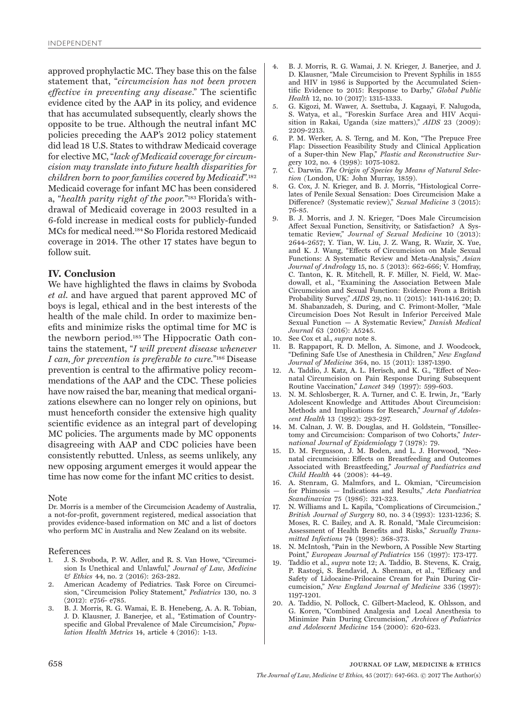approved prophylactic MC. They base this on the false statement that, "*circumcision has not been proven effective in preventing any disease*." The scientific evidence cited by the AAP in its policy, and evidence that has accumulated subsequently, clearly shows the opposite to be true. Although the neutral infant MC policies preceding the AAP's 2012 policy statement did lead 18 U.S. States to withdraw Medicaid coverage for elective MC, "*lack of Medicaid coverage for circumcision may translate into future health disparities for children born to poor families covered by Medicaid*".182 Medicaid coverage for infant MC has been considered a, "*health parity right of the poor.*"183 Florida's withdrawal of Medicaid coverage in 2003 resulted in a 6-fold increase in medical costs for publicly-funded MCs for medical need.184 So Florida restored Medicaid coverage in 2014. The other 17 states have begun to follow suit.

# **IV. Conclusion**

We have highlighted the flaws in claims by Svoboda *et al.* and have argued that parent approved MC of boys is legal, ethical and in the best interests of the health of the male child. In order to maximize benefits and minimize risks the optimal time for MC is the newborn period.185 The Hippocratic Oath contains the statement, "*I will prevent disease whenever I can, for prevention is preferable to cure.*"186 Disease prevention is central to the affirmative policy recommendations of the AAP and the CDC. These policies have now raised the bar, meaning that medical organizations elsewhere can no longer rely on opinions, but must henceforth consider the extensive high quality scientific evidence as an integral part of developing MC policies. The arguments made by MC opponents disagreeing with AAP and CDC policies have been consistently rebutted. Unless, as seems unlikely, any new opposing argument emerges it would appear the time has now come for the infant MC critics to desist.

#### Note

Dr. Morris is a member of the Circumcision Academy of Australia, a not-for-profit, government registered, medical association that provides evidence-based information on MC and a list of doctors who perform MC in Australia and New Zealand on its website.

#### References

- 1. J. S. Svoboda, P. W. Adler, and R. S. Van Howe, "Circumcision Is Unethical and Unlawful," *Journal of Law, Medicine & Ethics* 44, no. 2 (2016): 263-282.
- 2. American Academy of Pediatrics. Task Force on Circumcision, " Circumcision Policy Statement," *Pediatrics* 130, no. 3 (2012): e756- e785.
- 3. B. J. Morris, R. G. Wamai, E. B. Henebeng, A. A. R. Tobian, J. D. Klausner, J. Banerjee, et al., "Estimation of Countryspecific and Global Prevalence of Male Circumcision," *Population Health Metrics* 14, article 4 (2016): 1-13.
- 4. B. J. Morris, R. G. Wamai, J. N. Krieger, J. Banerjee, and J. D. Klausner, "Male Circumcision to Prevent Syphilis in 1855 and HIV in 1986 is Supported by the Accumulated Scientific Evidence to 2015: Response to Darby," *Global Public Health* 12, no. 10 (2017): 1315-1333.
- 5. G. Kigozi, M. Wawer, A. Ssettuba, J. Kagaayi, F. Nalugoda, S. Watya, et al., "Foreskin Surface Area and HIV Acquisition in Rakai, Uganda (size matters)," *AIDS* 23 (2009): 2209-2213.
- 6. P. M. Werker, A. S. Terng, and M. Kon, "The Prepuce Free Flap: Dissection Feasibility Study and Clinical Application of a Super-thin New Flap," *Plastic and Reconstructive Surg*ery 102, no. 4 (1998): 1075-1082.
- 7. C. Darwin. *The Origin of Species by Means of Natural Selection (*London, UK: John Murray, 1859).
- 8. G. Cox, J. N. Krieger, and B. J. Morris, "Histological Correlates of Penile Sexual Sensation: Does Circumcision Make a Difference? (Systematic review)," *Sexual Medicine* 3 (2015): 76-85.
- 9. B. J. Morris, and J. N. Krieger, "Does Male Circumcision Affect Sexual Function, Sensitivity, or Satisfaction? A Systematic Review," *Journal of Sexual Medicine* 10 (2013): 2644-2657; Y. Tian, W. Liu, J. Z. Wang, R. Wazir, X. Yue, and K. J. Wang, "Effects of Circumcision on Male Sexual Functions: A Systematic Review and Meta-Analysis," *Asian Journal of Andrology* 15, no. 5 (2013): 662-666; V. Homfray, C. Tanton, K. R. Mitchell, R. F. Miller, N. Field, W. Macdowall, et al., "Examining the Association Between Male Circumcision and Sexual Function: Evidence From a British Probability Survey," *AIDS* 29, no. 11 (2015): 1411-1416.20; D. M. Shabanzadeh, S. During, and C. Frimont-Moller, "Male Circumcision Does Not Result in Inferior Perceived Male Sexual Function — A Systematic Review," *Danish Medical Journal* 63 (2016): A5245.
- 10. See Cox et al., *supra* note 8.
- 11. B. Rappaport, R. D. Mellon, A. Simone, and J. Woodcock, "Defining Safe Use of Anesthesia in Children," *New England Journal of Medicine* 364, no. 15 (2011): 1387-1390.
- 12. A. Taddio, J. Katz, A. L. Herisch, and K. G., "Effect of Neonatal Circumcision on Pain Response During Subsequent Routine Vaccination," *Lancet* 349 (1997): 599-603.
- 13. N. M. Schlosberger, R. A. Turner, and C. E. Irwin, Jr., "Early Adolescent Knowledge and Attitudes About Circumcision: Methods and Implications for Research," *Journal of Adolescent Health* 13 (1992): 293-297.
- 14. M. Calnan, J. W. B. Douglas, and H. Goldstein, "Tonsillectomy and Circumcision: Comparison of two Cohorts," *International Journal of Epidemiology* 7 (1978): 79.
- 15. D. M. Fergusson, J. M. Boden, and L. J. Horwood, "Neonatal circumcision: Effects on Breastfeeding and Outcomes Associated with Breastfeeding," *Journal of Paediatrics and Child Health* 44 (2008): 44-49.
- 16. A. Stenram, G. Malmfors, and L. Okmian, "Circumcision for Phimosis — Indications and Results," *Acta Paediatrica Scandinavica* 75 (1986): 321-323.
- 17. N. Williams and L. Kapila, "Complications of Circumcision.," *British Journal of Surgery* 80, no. 3 4 (1993): 1231-1236; S. Moses, R. C. Bailey, and A. R. Ronald, "Male Circumcision: Assessment of Health Benefits and Risks," *Sexually Transmitted Infections* 74 (1998): 368-373.
- 18. N. McIntosh, "Pain in the Newborn, A Possible New Starting Point," *European Journal of Pediatrics* 156 (1997): 173-177.
- 19. Taddio et al., *supra* note 12; A. Taddio, B. Stevens, K. Craig, P. Rastogi, S. Bendavid, A. Shennan, et al., "Efficacy and Safety of Lidocaine-Prilocaine Cream for Pain During Circumcision," *New England Journal of Medicine* 336 (1997): 1197-1201.
- 20. A. Taddio, N. Pollock, C. Gilbert-Macleod, K. Ohlsson, and G. Koren, "Combined Analgesia and Local Anesthesia to Minimize Pain During Circumcision," *Archives of Pediatrics and Adolescent Medicine* 154 (2000): 620-623.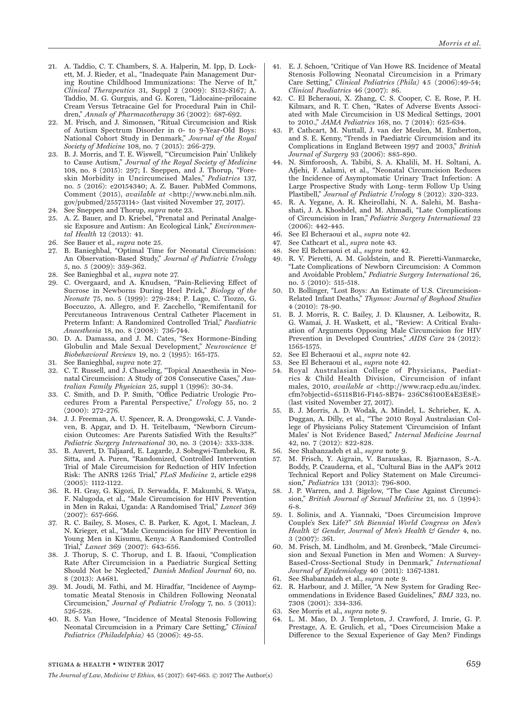- 21. A. Taddio, C. T. Chambers, S. A. Halperin, M. Ipp, D. Lockett, M. J. Rieder, et al., "Inadequate Pain Management During Routine Childhood Immunizations: The Nerve of It," *Clinical Therapeutics* 31, Suppl 2 (2009): S152-S167; A. Taddio, M. G. Gurguis, and G. Koren, "Lidocaine-prilocaine Cream Versus Tetracaine Gel for Procedural Pain in Children," *Annals of Pharmacotherapy* 36 (2002): 687-692.
- 22. M. Frisch, and J. Simonsen, "Ritual Circumcision and Risk of Autism Spectrum Disorder in 0- to 9-Year-Old Boys: National Cohort Study in Denmark," *Journal of the Royal Society of Medicine* 108, no. 7 (2015): 266-279.
- 23. B. J. Morris, and T. E. Wiswell, "'Circumcision Pain' Unlikely to Cause Autism," *Journal of the Royal Society of Medicine* 108, no. 8 (2015): 297; I. Sneppen, and J. Thorup, "Foreskin Morbidity in Uncircumcised Males," *Pediatrics* 137, no. 5 (2016): e20154340; A. Z. Bauer. PubMed Commons, Comment (2015), *available at* <http://www.ncbi.nlm.nih. gov/pubmed/25573114> (last visited November 27, 2017).
- 24. See Sneppen and Thorup, *supra* note 23.
- 25. A. Z. Bauer, and D. Kriebel, "Prenatal and Perinatal Analgesic Exposure and Autism: An Ecological Link," *Environmental Health* 12 (2013): 41.
- 26. See Bauer et al., *supra* note 25.
- 27. B. Banieghbal, "Optimal Time for Neonatal Circumcision: An Observation-Based Study," *Journal of Pediatric Urology*  5, no. 5 (2009): 359-362.
- 28. See Banieghbal et al., *supra* note 27.
- 29. C. Overgaard, and A. Knudsen, "Pain-Relieving Effect of Sucrose in Newborns During Heel Prick," *Biology of the Neonate* 75, no. 5 (1999): 279-284; P. Lago, C. Tiozzo, G. Boccuzzo, A. Allegro, and F. Zacchello, "Remifentanil for Percutaneous Intravenous Central Catheter Placement in Preterm Infant: A Randomized Controlled Trial," *Paediatric Anaesthesia* 18, no. 8 (2008): 736-744.
- 30. D. A. Damassa, and J. M. Cates, "Sex Hormone-Binding Globulin and Male Sexual Development," *Neuroscience & Biobehavioral Reviews* 19, no. 2 (1995): 165-175.
- 31. See Banieghbal, *supra* note 27.
- 32. C. T. Russell, and J. Chaseling, "Topical Anaesthesia in Neonatal Circumcision: A Study of 208 Consecutive Cases," *Australian Family Physician* 25, suppl 1 (1996): 30-34.
- 33. C. Smith, and D. P. Smith, "Office Pediatric Urologic Procedures From a Parental Perspective," *Urology* 55, no. 2 (2000): 272-276.
- 34. J. J. Freeman, A. U. Spencer, R. A. Drongowski, C. J. Vandeven, B. Apgar, and D. H. Teitelbaum, "Newborn Circumcision Outcomes: Are Parents Satisfied With the Results?" *Pediatric Surgery International* 30, no. 3 (2014): 333-338.
- 35. B. Auvert, D. Taljaard, E. Lagarde, J. Sobngwi-Tambekou, R. Sitta, and A. Puren, "Randomized, Controlled Intervention Trial of Male Circumcision for Reduction of HIV Infection Risk: The ANRS 1265 Trial," *PLoS Medicine* 2, article e298 (2005): 1112-1122.
- 36. R. H. Gray, G. Kigozi, D. Serwadda, F. Makumbi, S. Watya, F. Nalugoda, et al., "Male Circumcision for HIV Prevention in Men in Rakai, Uganda: A Randomised Trial," *Lancet* 369 (2007): 657-666.
- 37. R. C. Bailey, S. Moses, C. B. Parker, K. Agot, I. Maclean, J. N. Krieger, et al., "Male Circumcision for HIV Prevention in Young Men in Kisumu, Kenya: A Randomised Controlled Trial," *Lancet* 369 (2007): 643-656.
- 38. J. Thorup, S. C. Thorup, and I. B. Ifaoui, "Complication Rate After Circumcision in a Paediatric Surgical Setting Should Not be Neglected," *Danish Medical Journal* 60, no. 8 (2013): A4681.
- 39. M. Joudi, M. Fathi, and M. Hiradfar, "Incidence of Asymptomatic Meatal Stenosis in Children Following Neonatal Circumcision," *Journal of Pediatric Urology* 7, no. 5 (2011): 526-528.
- 40. R. S. Van Howe, "Incidence of Meatal Stenosis Following Neonatal Circumcision in a Primary Care Setting," *Clinical Pediatrics (Philadelphia)* 45 (2006): 49-55.
- 41. E. J. Schoen, "Critique of Van Howe RS. Incidence of Meatal Stenosis Following Neonatal Circumcision in a Primary Care Setting," *Clinical Pediatrics (Phila)* 45 (2006):49-54; *Clinical Paediatrics* 46 (2007): 86.
- 42. C. El Bcheraoui, X. Zhang, C. S. Cooper, C. E. Rose, P. H. Kilmarx, and R. T. Chen, "Rates of Adverse Events Associated with Male Circumcision in US Medical Settings, 2001 to 2010.," *JAMA Pediatrics* 168, no. 7 (2014): 625-634.
- 43. P. Cathcart, M. Nuttall, J. van der Meulen, M. Emberton, and S. E. Kenny, "Trends in Paediatric Circumcision and its Complications in England Between 1997 and 2003," *British Journal of Surgery* 93 (2006): 885-890.
- 44. N. Simforoosh, A. Tabibi, S. A. Khalili, M. H. Soltani, A. Afjehi, F. Aalami, et al., "Neonatal Circumcision Reduces the Incidence of Asymptomatic Urinary Tract Infection: A Large Prospective Study with Long- term Follow Up Using Plastibell," *Journal of Pediatric Urology* 8 (2012): 320-323.
- 45. R. A. Yegane, A. R. Kheirollahi, N. A. Salehi, M. Bashashati, J. A. Khoshdel, and M. Ahmadi, "Late Complications of Circumcision in Iran," *Pediatric Surgery International* 22 (2006): 442-445.
- 46. See El Bcheraoui et al., *supra* note 42.
- 47. See Cathcart et al., *supra* note 43.
- 48. See El Bcheraoui et al., *supra* note 42.
- 49. R. V. Pieretti, A. M. Goldstein, and R. Pieretti-Vanmarcke, "Late Complications of Newborn Circumcision: A Common and Avoidable Problem," *Pediatric Surgery International* 26, no. 5 (2010): 515-518.
- 50. D. Bollinger, "Lost Boys: An Estimate of U.S. Circumcision-Related Infant Deaths," *Thymos: Journal of Boyhood Studies* 4 (2010): 78-90.
- 51. B. J. Morris, R. C. Bailey, J. D. Klausner, A. Leibowitz, R. G. Wamai, J. H. Waskett, et al., "Review: A Critical Evaluation of Arguments Opposing Male Circumcision for HIV Prevention in Developed Countries," *AIDS Care* 24 (2012): 1565-1575.
- 52. See El Bcheraoui et al., *supra* note 42.
- 53. See El Bcheraoui et al., *supra* note 42.
- 54. Royal Australasian College of Physicians, Paediatrics & Child Health Division, Circumcision of infant males, 2010, *available at* <http://www.racp.edu.au/index. cfm?objectid=65118B16-F145-8B74- 236C86100E4E3E8E> (last visited November 27, 2017).
- 55. B. J. Morris, A. D. Wodak, A. Mindel, L. Schrieber, K. A. Duggan, A. Dilly, et al., "The 2010 Royal Australasian College of Physicians Policy Statement 'Circumcision of Infant Males' is Not Evidence Based," *Internal Medicine Journal* 42, no. 7 (2012): 822-828.
- 56. See Shabanzadeh et al., *supra* note 9.
- 57. M. Frisch, Y. Aigrain, V. Barauskas, R. Bjarnason, S.-A. Boddy, P. Czauderna, et al., "Cultural Bias in the AAP's 2012 Technical Report and Policy Statement on Male Circumcision," *Pediatrics* 131 (2013): 796-800.
- 58. J. P. Warren, and J. Bigelow, "The Case Against Circumcision," *British Journal of Sexual Medicine* 21, no. 5 (1994): 6-8.
- 59. I. Solinis, and A. Yiannaki, "Does Circumcision Improve Couple's Sex Life?" *5th Biennial World Congress on Men's Health & Gender, Journal of Men's Health & Gender* 4, no. 3 (2007): 361.
- 60. M. Frisch, M. Lindholm, and M. Grønbeck, "Male Circumcision and Sexual Function in Men and Women: A Survey-Based-Cross-Sectional Study in Denmark," *International Journal of Epidemiology* 40 (2011): 1367-1381.
- 61. See Shabanzadeh et al., *supra* note 9.
- 62. R. Harbour, and J. Miller, "A New System for Grading Recommendations in Evidence Based Guidelines," *BMJ* 323, no. 7308 (2001): 334-336.
- 63. See Morris et al., *supra* note 9.
- 64. L. M. Mao, D. J. Templeton, J. Crawford, J. Imrie, G. P. Prestage, A. E. Grulich, et al., "Does Circumcision Make a Difference to the Sexual Experience of Gay Men? Findings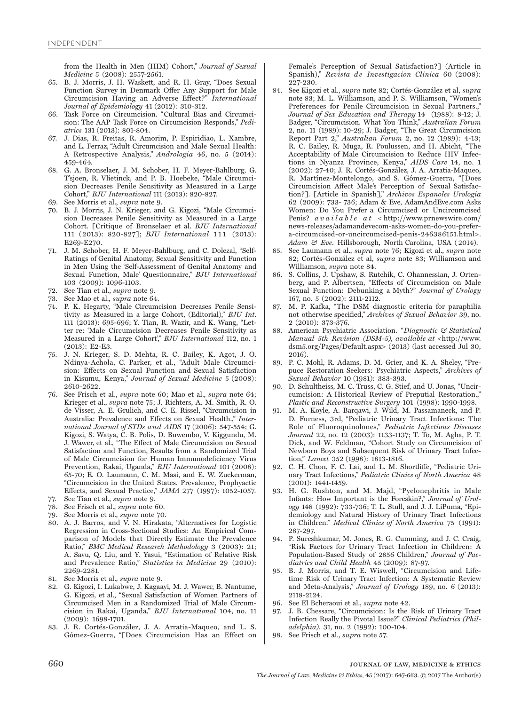from the Health in Men (HIM) Cohort," *Journal of Sexual Medicine* 5 (2008): 2557-2561.

- 65. B. J. Morris, J. H. Waskett, and R. H. Gray, "Does Sexual Function Survey in Denmark Offer Any Support for Male Circumcision Having an Adverse Effect?" *International Journal of Epidemiology* 41 (2012): 310-312.
- 66. Task Force on Circumcision. "Cultural Bias and Circumcision: The AAP Task Force on Circumcision Responds," *Pediatrics* 131 (2013): 801-804.
- 67. J. Dias, R. Freitas, R. Amorim, P. Espiridiao, L. Xambre, and L. Ferraz, "Adult Circumcision and Male Sexual Health: A Retrospective Analysis," *Andrologia* 46, no. 5 (2014): 459-464.
- 68. G. A. Bronselaer, J. M. Schober, H. F. Meyer-Bahlburg, G. T'sjoen, R. Vlietinck, and P. B. Hoebeke, "Male Circumcision Decreases Penile Sensitivity as Measured in a Large Cohort," *BJU International* 111 (2013): 820-827.
- 69. See Morris et al., *supra* note 9.
- 70. B. J. Morris, J. N. Krieger, and G. Kigozi, "Male Circumcision Decreases Penile Sensitivity as Measured in a Large Cohort. [Critique of Bronselaer et al. *BJU International* 111 (2013): 820-827]; *BJU International* 1 1 1 (2013): E269-E270.
- 71. J. M. Schober, H. F. Meyer-Bahlburg, and C. Dolezal, "Self-Ratings of Genital Anatomy, Sexual Sensitivity and Function in Men Using the 'Self-Assessment of Genital Anatomy and Sexual Function, Male' Questionnaire," *BJU International*  103 (2009): 1096-1103.
- 72. See Tian et al., *supra* note 9.
- 73. See Mao et al., *supra* note 64.
- 74. P. K. Hegarty, "Male Circumcision Decreases Penile Sensitivity as Measured in a large Cohort, (Editorial)," *BJU Int*. 111 (2013): 695-696; Y. Tian, R. Wazir, and K. Wang, "Letter re: 'Male Circumcision Decreases Penile Sensitivity as Measured in a Large Cohort'," *BJU International* 112, no. 1 (2013): E2-E3.
- 75. J. N. Krieger, S. D. Mehta, R. C. Bailey, K. Agot, J. O. Ndinya-Achola, C. Parker, et al., "Adult Male Circumcision: Effects on Sexual Function and Sexual Satisfaction in Kisumu, Kenya," *Journal of Sexual Medicine* 5 (2008): 2610-2622.
- 76. See Frisch et al., *supra* note 60; Mao et al., *supra* note 64; Krieger et al., *supra* note 75; J. Richters, A. M. Smith, R. O. de Visser, A. E. Grulich, and C. E. Rissel, "Circumcision in Australia: Prevalence and Effects on Sexual Health.," *International Journal of STDs and AIDS* 17 (2006): 547-554; G. Kigozi, S. Watya, C. B. Polis, D. Buwembo, V. Kiggundu, M. J. Wawer, et al., "The Effect of Male Circumcision on Sexual Satisfaction and Function, Results from a Randomized Trial of Male Circumcision for Human Immunodeficiency Virus Prevention, Rakai, Uganda," *BJU International* 101 (2008): 65-70; E. O. Laumann, C. M. Masi, and E. W. Zuckerman, "Circumcision in the United States. Prevalence, Prophyactic Effects, and Sexual Practice," *JAMA* 277 (1997): 1052-1057.
- 77. See Tian et al., *supra* note 9.
- 78. See Frisch et al., *supra* note 60.
- 79. See Morris et al., *supra* note 70.
- 80. A. J. Barros, and V. N. Hirakata, "Alternatives for Logistic Regression in Cross-Sectional Studies: An Empirical Comparison of Models that Directly Estimate the Prevalence Ratio," *BMC Medical Research Methodology* 3 (2003): 21; A. Savu, Q. Liu, and Y. Yasui, "Estimation of Relative Risk and Prevalence Ratio," *Statistics in Medicine* 29 (2010): 2269-2281.
- 81. See Morris et al., *supra* note 9.
- 82. G. Kigozi, I. Lukabwe, J. Kagaayi, M. J. Wawer, B. Nantume, G. Kigozi, et al., "Sexual Satisfaction of Women Partners of Circumcised Men in a Randomized Trial of Male Circumcision in Rakai, Uganda," *BJU International* 104, no. 11 (2009): 1698-1701.
- 83. J. R. Cortés-González, J. A. Arratia-Maqueo, and L. S. Gómez-Guerra, "[Does Circumcision Has an Effect on

Female's Perception of Sexual Satisfaction?] (Article in Spanish)," Revista de Investigacion Clinica 60 (2008): 227-230.

- 84. See Kigozi et al., *supra* note 82; Cortés-González et al, *supra* note 83; M. L. Williamson, and P. S. Williamson, "Women's Preferences for Penile Circumcision in Sexual Partners.," *Journal of Sex Education and Therapy* 14 (1988): 8-12; J. Badger, "Circumcision. What You Think," *Australian Forum* 2, no. 11 (1989): 10-29; J. Badger, "The Great Circumcision Report Part 2," *Australian Forum* 2, no. 12 (1989): 4-13; R. C. Bailey, R. Muga, R. Poulussen, and H. Abicht, "The Acceptability of Male Circumcision to Reduce HIV Infections in Nyanza Province, Kenya," *AIDS Care* 14, no. 1 (2002): 27-40; J. R. Cortés-González, J. A. Arratia-Maqueo, R. Martínez-Montelongo, and S. Gómez-Guerra, "[Does Circumcision Affect Male's Perception of Sexual Satisfaction?]. [Article in Spanish]," *Archivos Espanoles Urologia* 62 (2009): 733- 736; Adam & Eve, AdamAndEve.com Asks Women: Do You Prefer a Circumcised or Uncircumcised Penis? *available at* < http://www.prnewswire.com/ news-releases/adamandevecom-asks-women-do-you-prefera-circumcised-or-uncircumcised-penis-246386151.html>. *Adam & Eve*. Hillsborough, North Carolina, USA ( 2014).
- 85. See Laumann et al., *supra* note 76; Kigozi et al., *supra* note 82; Cortés-González et al, *supra* note 83; Williamson and Williamson, *supra* note 84.
- 86. S. Collins, J. Upshaw, S. Rutchik, C. Ohannessian, J. Ortenberg, and P. Albertsen, "Effects of Circumcision on Male Sexual Function: Debunking a Myth?" *Journal of Urology* 167, no. 5 (2002): 2111-2112.
- 87. M. P. Kafka, "The DSM diagnostic criteria for paraphilia not otherwise specified," *Archives of Sexual Behavior* 39, no. 2 (2010): 373-376.
- 88. American Psychiatric Association. *" Diagnostic & Statistical Manual 5th Revision (DSM-5), available at* <http://www. dsm5.org/Pages/Default.aspx> (2013) (last accessed Jul 30, 2016).
- 89. P. C. Mohl, R. Adams, D. M. Grier, and K. A. Sheley, "Prepuce Restoration Seekers: Psychiatric Aspects," *Archives of Sexual Behavior* 10 (1981): 383-393.
- 90. D. Schultheiss, M. C. Truss, C. G. Stief, and U. Jonas, "Uncircumcision: A Historical Review of Preputial Restoration.," *Plastic and Reconstructive Surgery* 101 (1998): 1990-1998.
- 91. M. A. Koyle, A. Barqawi, J. Wild, M. Passamaneck, and P. D. Furness, 3rd, "Pediatric Urinary Tract Infections: The Role of Fluoroquinolones," *Pediatric Infectious Diseases Journal* 22, no. 12 (2003): 1133-1137; T. To, M. Agha, P. T. Dick, and W. Feldman, "Cohort Study on Circumcision of Newborn Boys and Subsequent Risk of Urinary Tract Infection," *Lancet* 352 (1998): 1813-1816.
- 92. C. H. Chon, F. C. Lai, and L. M. Shortliffe, "Pediatric Urinary Tract Infections," *Pediatric Clinics of North America* 48 (2001): 1441-1459.
- 93. H. G. Rushton, and M. Majd, "Pyelonephritis in Male Infants: How Important is the Foreskin?," *Journal of Urology* 148 (1992): 733-736; T. L. Stull, and J. J. LiPuma, "Epidemiology and Natural History of Urinary Tract Infections in Children." *Medical Clinics of North America* 75 (1991): 287-297.
- 94. P. Sureshkumar, M. Jones, R. G. Cumming, and J. C. Craig, "Risk Factors for Urinary Tract Infection in Children: A Population-Based Study of 2856 Children," *Journal of Paediatrics and Child Health* 45 (2009): 87-97.
- 95. B. J. Morris, and T. E. Wiswell, "Circumcision and Lifetime Risk of Urinary Tract Infection: A Systematic Review and Meta-Analysis," *Journal of Urology* 189, no. 6 (2013): 2118-2124.
- 96. See El Bcheraoui et al., *supra* note 42.
- 97. J. B. Chessare, "Circumcision: Is the Risk of Urinary Tract Infection Really the Pivotal Issue?" *Clinical Pediatrics (Philadelphia)*. 31, no. 2 (1992): 100-104.
- 98. See Frisch et al., *supra* note 57.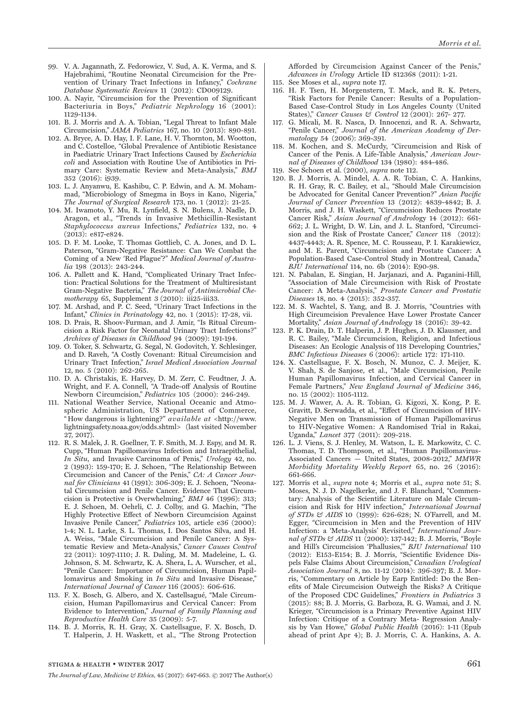- 99. V. A. Jagannath, Z. Fedorowicz, V. Sud, A. K. Verma, and S. Hajebrahimi, "Routine Neonatal Circumcision for the Prevention of Urinary Tract Infections in Infancy," *Cochrane Database Systematic Reviews* 11 (2012): CD009129.
- 100. A. Nayir, "Circumcision for the Prevention of Significant Bacteriuria in Boys," *Pediatric Nephrology* 16 (2001): 1129-1134.
- 101. B. J. Morris and A. A. Tobian, "Legal Threat to Infant Male Circumcision," *JAMA Pediatrics* 167, no. 10 (2013): 890-891.
- 102. A. Bryce, A. D. Hay, I. F. Lane, H. V. Thornton, M. Wootton, and C. Costelloe, "Global Prevalence of Antibiotic Resistance in Paediatric Urinary Tract Infections Caused by *Escherichia coli* and Association with Routine Use of Antibiotics in Primary Care: Systematic Review and Meta-Analysis," *BMJ* 352 (2016): i939.
- 103. L. J. Anyanwu, E. Kashibu, C. P. Edwin, and A. M. Mohammad, "Microbiology of Smegma in Boys in Kano, Nigeria," *The Journal of Surgical Research* 173, no. 1 (2012): 21-25.
- 104. M. Iwamoto, Y. Mu, R. Lynfield, S. N. Bulens, J. Nadle, D. Aragon, et al., "Trends in Invasive Methicillin-Resistant *Staphylococcus aureus* Infections," *Pediatrics* 132, no. 4 (2013): e817-e824.
- 105. D. F. M. Looke, T. Thomas Gottlieb, C. A. Jones, and D. L. Paterson, "Gram-Negative Resistance: Can We Combat the Coming of a New 'Red Plague'?" *Medical Journal of Australia* 198 (2013): 243-244.
- 106. A. Pallett and K. Hand, "Complicated Urinary Tract Infection: Practical Solutions for the Treatment of Multiresistant Gram-Negative Bacteria," *The Journal of Antimicrobial Chemotherapy* 65, Supplement 3 (2010): iii25-iii33.
- 107. M. Arshad, and P. C. Seed, "Urinary Tract Infections in the Infant," *Clinics in Perinatology* 42, no. 1 (2015): 17-28, vii.
- 108. D. Prais, R. Shoov-Furman, and J. Amir, "Is Ritual Circumcision a Risk Factor for Neonatal Urinary Tract Infections?" *Archives of Diseases in Childhood* 94 (2009): 191-194.
- 109. O. Toker, S. Schwartz, G. Segal, N. Godovitch, Y. Schlesinger, and D. Raveh, "A Costly Covenant: Ritual Circumcision and Urinary Tract Infection," *Israel Medical Association Journal* 12, no. 5 (2010): 262-265.
- 110. D. A. Christakis, E. Harvey, D. M. Zerr, C. Feudtner, J. A. Wright, and F. A. Connell, "A Trade-off Analysis of Routine Newborn C ircumcision," *Pediatrics* 105 (2000): 246-249.
- 111. National Weather Service, National Oceanic and Atmospheric Administration, US Department of Commerce, " How dangerous is lightening?" *available at* <http://www. lightningsafety.noaa.gov/odds.shtml> (last visited November 27, 2017).
- 112. R. S. Malek, J. R. Goellner, T. F. Smith, M. J. Espy, and M. R. Cupp, "Human Papillomavirus Infection and Intraepithelial, *In Situ*, and Invasive Carcinoma of Penis," *Urology* 42, no. 2 (1993): 159-170; E. J. Schoen, "The Relationship Between Circumcision and Cancer of the Penis," *CA: A Cancer Journal for Clinicians* 41 (1991): 306-309; E. J. Schoen, "Neonatal Circumcision and Penile Cancer. Evidence That Circumcision is Protective is Overwhelming," *BMJ* 46 (1996): 313; E. J. Schoen, M. Oehrli, C. J. Colby, and G. Machin, "The Highly Protective Effect of Newborn Circumcision Against Invasive Penile Cancer," *Pediatrics* 105, article e36 (2000): 1-4; N. L. Larke, S. L. Thomas, I. Dos Santos Silva, and H. A. Weiss, "Male Circumcision and Penile Cancer: A Systematic Review and Meta-Analysis," *Cancer Causes Control* 22 (2011): 1097-1110; J. R. Daling, M. M. Madeleine, L. G. Johnson, S. M. Schwartz, K. A. Shera, L. A. Wurscher, et al., "Penile Cancer: Importance of Circumcision, Human Papillomavirus and Smoking in *In Situ* and Invasive Disease," *International Journal of Cancer* 116 (2005): 606-616.
- 113. F. X. Bosch, G. Albero, and X. Castellsagué, "Male Circumcision, Human Papillomavirus and Cervical Cancer: From Evidence to Intervention," *Journal of Family Planning and Reproductive Health Care* 35 (2009): 5-7.
- 114. B. J. Morris, R. H. Gray, X. Castellsague, F. X. Bosch, D. T. Halperin, J. H. Waskett, et al., "The Strong Protection

Afforded by Circumcision Against Cancer of the Penis," *Advances in Urology* Article ID 812368 (2011): 1-21.

- 115. See Moses et al., *supra* note 17.
- 116. H. F. Tsen, H. Morgenstern, T. Mack, and R. K. Peters, "Risk Factors for Penile Cancer: Results of a Population-Based Case-Control Study in Los Angeles County (United States)," *Cancer Causes & Control* 12 (2001): 267- 277.
- 117. G. Micali, M. R. Nasca, D. Innocenzi, and R. A. Schwartz, "Penile Cancer," *Journal of the American Academy of Dermatology* 54 (2006): 369-391.
- 118. M. Kochen, and S. McCurdy, "Circumcision and Risk of Cancer of the Penis. A Life-Table Analysis," *American Journal of Diseases of Childhood* 134 (1980): 484-486.
- 119. See Schoen et al. (2000), *supra* note 112.
- 120. B. J. Morris, A. Mindel, A. A. R. Tobian, C. A. Hankins, R. H. Gray, R. C. Bailey, et al., "Should Male Circumcision be Advocated for Genital Cancer Prevention?" *Asian Pacific Journal of Cancer Prevention* 13 (2012): 4839-4842; B. J. Morris, and J. H. Waskett, "Circumcision Reduces Prostate Cancer Risk," *Asian Journal of Androl*ogy 14 (2012): 661- 662; J. L. Wright, D. W. Lin, and J. L. Stanford, "Circumcision and the Risk of Prostate Cancer," *Cancer* 118 (2012): 4437-4443; A. R. Spence, M. C. Rousseau, P. I. Karakiewicz, and M. E. Parent, "Circumcision and Prostate Cancer: A Population-Based Case-Control Study in Montreal, Canada," *BJU International* 114, no. 6b (2014): E90-98.
- 121. N. Pabalan, E. Singian, H. Jarjanazi, and A. Paganini-Hill, "Association of Male Circumcision with Risk of Prostate Cancer: A Meta-Analysis," *Prostate Cancer and Prostatic Diseases* 18, no. 4 (2015): 352-357.
- 122. M. S. Wachtel, S. Yang, and B. J. Morris, "Countries with High Circumcision Prevalence Have Lower Prostate Cancer Mortality," *Asian Journal of Andrology* 18 (2016): 39-42.
- 123. P. K. Drain, D. T. Halperin, J. P. Hughes, J. D. Klausner, and R. C. Bailey, "Male Circumcision, Religion, and Infectious Diseases: An Ecologic Analysis of 118 Developing Countries," *BMC Infectious Diseases* 6 (2006): article 172: 171-110.
- 124. X. Castellsague, F. X. Bosch, N. Munoz, C. J. Meijer, K. V. Shah, S. de Sanjose, et al., "Male Circumcision, Penile Human Papillomavirus Infection, and Cervical Cancer in Female Partners," *New England Journal of Medicine* 346, no. 15 (2002): 1105-1112.
- 125. M. J. Wawer, A. A. R. Tobian, G. Kigozi, X. Kong, P. E. Gravitt, D. Serwadda, et al., "Effect of Circumcision of HIV-Negative Men on Transmission of Human Papillomavirus to HIV-Negative Women: A Randomised Trial in Rakai, Uganda," *Lancet* 377 (2011): 209-218.
- 126. L. J. Viens, S. J. Henley, M. Watson, L. E. Markowitz, C. C. Thomas, T. D. Thompson, et al., "Human Papillomavirus-Associated Cancers — United States, 2008-2012," *MMWR Morbidity Mortality Weekly Report* 65, no. 26 (2016): 661-666.
- 127. Morris et al., *supra* note 4; Morris et al., *supra* note 51; S. Moses, N. J. D. Nagelkerke, and J. F. Blanchard, "Commentary: Analysis of the Scientific Literature on Male Circumcision and Risk for HIV infection," *International Journal of STDs & AIDS* 10 (1999): 626-628; N. O'Farrell, and M. Egger, "Circumcision in Men and the Prevention of HIV Infection: a 'Meta-Analysis' Revisited," *International Journal of STDs & AIDS* 11 (2000): 137-142; B. J. Morris, "Boyle and Hill's Circumcision 'Phallusies,'" *BJU International* 110 (2012): E153-E154; B. J. Morris, "Scientific Evidence Dispels False Claims About Circumcision," *Canadian Urological Association Journal* 8, no. 11-12 (2014): 396-397; B. J. Morris, "Commentary on Article by Earp Entitled: Do the Benefits of Male Circumcision Outweigh the Risks? A Critique of the Proposed CDC Guidelines," *Frontiers in Pediatrics* 3 (2015): 88; B. J. Morris, G. Barboza, R. G. Wamai, and J. N. Krieger, "Circumcision is a Primary Preventive Against HIV Infection: Critique of a Contrary Meta- Regression Analysis by Van Howe," *Global Public Health* (2016): 1-11 (Epub ahead of print Apr 4); B. J. Morris, C. A. Hankins, A. A.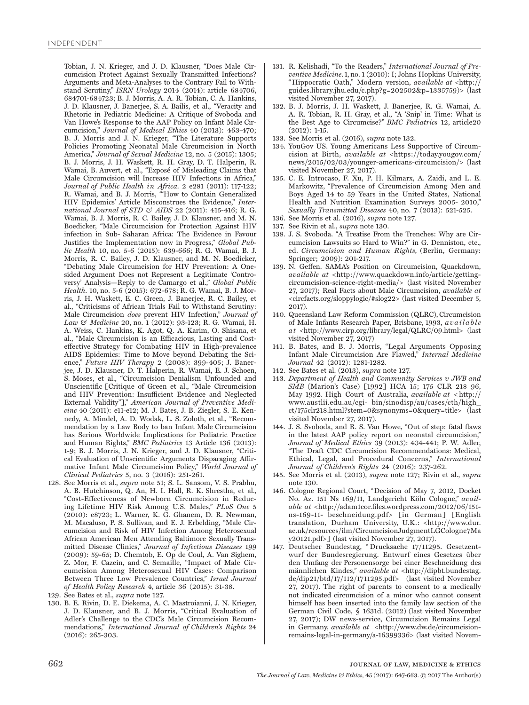Tobian, J. N. Krieger, and J. D. Klausner, "Does Male Circumcision Protect Against Sexually Transmitted Infections? Arguments and Meta-Analyses to the Contrary Fail to Withstand Scrutiny," *ISRN Urology* 2014 (2014): article 684706, 684701-684723; B. J. Morris, A. A. R. Tobian, C. A. Hankins, J. D. Klausner, J. Banerjee, S. A. Bailis, et al., "Veracity and Rhetoric in Pediatric Medicine: A Critique of Svoboda and Van Howe's Response to the AAP Policy on Infant Male Circumcision," *Journal of Medical Ethics* 40 (2013): 463-470; B. J. Morris and J. N. Krieger, "The Literature Supports Policies Promoting Neonatal Male Circumcision in North America," *Journal of Sexual Medicine* 12, no. 5 (2015): 1305; B. J. Morris, J. H. Waskett, R. H. Gray, D. T. Halperin, R. Wamai, B. Auvert, et al., "Exposé of Misleading Claims that Male Circumcision will Increase HIV Infections in Africa," *Journal of Public Health in Africa*. 2 e281 (2011): 117-122; R. Wamai, and B. J. Morris, "'How to Contain Generalized HIV Epidemics' Article Misconstrues the Evidence," *International Journal of STD & AIDS* 22 (2011): 415-416; R. G. Wamai, B. J. Morris, R. C. Bailey, J. D. Klausner, and M. N. Boedicker, "Male Circumcision for Protection Against HIV infection in Sub- Saharan Africa: The Evidence in Favour Justifies the Implementation now in Progress," *Global Public Health* 10, no. 5-6 (2015): 639-666; R. G. Wamai, B. J. Morris, R. C. Bailey, J. D. Klausner, and M. N. Boedicker, "Debating Male Circumcision for HIV Prevention: A Onesided Argument Does not Represent a Legitimate 'Controversy' Analysis—Reply to de Camargo et al.," *Global Public Health*. 10, no. 5-6 (2015): 672-678; R. G. Wamai, B. J. Morris, J. H. Waskett, E. C. Green, J. Banerjee, R. C. Bailey, et al., "Criticisms of African Trials Fail to Withstand Scrutiny: Male Circumcision *does* prevent HIV Infection," *Journal of Law & Medicine* 20, no. 1 (2012): 93-123; R. G. Wamai, H. A. Weiss, C. Hankins, K. Agot, Q. A. Karim, O. Shisana, et al., "Male Circumcision is an Efficacious, Lasting and Costeffective Strategy for Combating HIV in High-prevalence AIDS Epidemics: Time to Move beyond Debating the Science," *Future HIV Therapy* 2 (2008): 399-405; J. Banerjee, J. D. Klausner, D. T. Halperin, R. Wamai, E. J. Schoen, S. Moses, et al., "Circumcision Denialism Unfounded and Unscientific [Critique of Green et al., "Male Circumcision and HIV Prevention: Insufficient Evidence and Neglected External Validity"]," *American Journal of Preventive Medicine* 40 (2011): e11-e12; M. J. Bates, J. B. Ziegler, S. E. Kennedy, A. Mindel, A. D. Wodak, L. S. Zoloth, et al., "Recommendation by a Law Body to ban Infant Male Circumcision has Serious Worldwide Implications for Pediatric Practice and Human Rights," *BMC Pediatrics* 13 Article 136 (2013): 1-9; B. J. Morris, J. N. Krieger, and J. D. Klausner, "Critical Evaluation of Unscientific Arguments Disparaging Affirmative Infant Male Circumcision Policy," *World Journal of Clinical Pediatrics* 5, no. 3 (2016): 251-261.

- 128. See Morris et al., *supra* note 51; S. L. Sansom, V. S. Prabhu, A. B. Hutchinson, Q. An, H. I. Hall, R. K. Shrestha, et al., "Cost-Effectiveness of Newborn Circumcision in Reducing Lifetime HIV Risk Among U.S. Males," *PLoS One* 5 (2010): e8723; L. Warner, K. G. Ghanem, D. R. Newman, M. Macaluso, P. S. Sullivan, and E. J. Erbelding, "Male Circumcision and Risk of HIV Infection Among Heterosexual African American Men Attending Baltimore Sexually Transmitted Disease Clinics," *Journal of Infectious Diseases* 199 (2009): 59-65; D. Chemtob, E. Op de Coul, A. Van Sighem, Z. Mor, F. Cazein, and C. Semaille, "Impact of Male Circumcision Among Heterosexual HIV Cases: Comparison Between Three Low Prevalence Countries," *Israel Journal of Health Policy Research* 4, article 36 (2015): 31-38.
- 129. See Bates et al., *supra* note 127.
- 130. B. E. Rivin, D. E. Diekema, A. C. Mastroianni, J. N. Krieger, J. D. Klausner, and B. J. Morris, "Critical Evaluation of Adler's Challenge to the CDC's Male Circumcision Recommendations," *International Journal of Children's Rights* 24 (2016): 265-303.
- 131. R. Kelishadi, "To the Readers," *International Journal of Preventive Medicine*. 1, no. 1 (2010): I; Johns Hopkins University, " Hippocratic Oath," Modern version, *available at* <http:// guides.library.jhu.edu/c.php?g=202502&p=1335759)> (last visited November 27, 2017).
- 132. B. J. Morris, J. H. Waskett, J. Banerjee, R. G. Wamai, A. A. R. Tobian, R. H. Gray, et al., "A 'Snip' in Time: What is the Best Age to Circumcise?" *BMC Pediatrics* 12, article20 (2012): 1-15.
- 133. See Morris et al. (2016), *supra* note 132.
- 134. YouGov US. Young Americans Less Supportive of Circumcision at Birth, *available at* <https://today.yougov.com/ news/2015/02/03/younger-americans-circumcision/> (last visited November 27, 2017).
- 135. C. E. Introcaso, F. Xu, P. H. Kilmarx, A. Zaidi, and L. E. Markowitz, "Prevalence of Circumcision Among Men and Boys Aged 14 to 59 Years in the United States, National Health and Nutrition Examination Surveys 2005- 2010," *Sexually Transmitted Diseases* 40, no. 7 (2013): 521-525.
- 136. See Morris et al. (2016), *supra* note 127.
- 137. See Rivin et al., *supra* note 130.
- 138. J. S. Svoboda. "A Treatise From the Trenches: Why are Circumcision Lawsuits so Hard to Win?" in G. Denniston, etc., ed. *Circumcision and Human Rights,* (Berlin, Germany: Springer; 2009): 201-217.
- 139. N. Geffen. SAMA's Position on Circumcision, Quackdown, *available at* <http://www.quackdown.info/article/gettingcircumcision-science-right-media/> (last visited November 27, 2017); Real Facts about Male Circumcision, *available at*  <circfacts.org/sloppylogic/#slog22> (last visited December 5, 2017).
- 140. Queensland Law Reform Commission (QLRC), Circumcision of Male Infants Research Paper, Brisbane, 1993, *a v a i l a b l e a t* <http://www.cirp.org/library/legal/QLRC/09.html> (last visited November 27, 2017)
- 141. B. Bates, and B. J. Morris, "Legal Arguments Opposing Infant Male Circumcision Are Flawed," *Internal Medicine Journal* 42 (2012): 1281-1282.
- 142. See Bates et al. (2013), *supra* note 127.
- 143. *Department of Health and Community Services v JWB and SMB* (Marion's Case) [1992] HCA 15; 175 CLR 218 96, May 1992. High Court of Australia, *available at* < http:// www.austlii.edu.au/cgi- bin/sinodisp/au/cases/cth/high\_ ct/175clr218.html?stem=0&synonyms=0&query=title> (last visited November 27, 2017).
- 144. J. S. Svoboda, and R. S. Van Howe, "Out of step: fatal flaws in the latest AAP policy report on neonatal circumcision," *Journal of Medical Ethics* 39 (2013): 434-441; P. W. Adler, "The Draft CDC Circumcision Recommendations: Medical, Ethical, Legal, and Procedural Concerns," *International Journal of Children's Rights* 24 (2016): 237-262.
- 145. See Morris et al. (2013), *supra* note 127; Rivin et al., *supra*  note 130.
- 146. Cologne Regional Court, "Decision of May 7, 2012, Docket No. Az. 151 Ns 169/11, Landgericht Köln Cologne," avail*able at* <http://adam1cor.files.wordpress.com/2012/06/151 ns-169-11- beschneidung.pdf> [in German] [English translation, Durham University, U.K.: <http://www.dur. ac.uk/resources/ilm/CircumcisionJudgmentLGCologne7Ma y20121.pdf>] (last visited November 27, 2017).
- 147. Deutscher Bundestag, " Drucksache 17/11295. Gesetzentwurf der Bundesregierung. Entwurf eines Gesetzes über den Umfang der Personensorge bei einer Beschneidung des männlichen Kindes," *available at* <http://dipbt.bundestag. de/dip21/btd/17/112/1711295.pdf> (last visited November 27, 2017). The right of parents to consent to a medically not indicated circumcision of a minor who cannot consent himself has been inserted into the family law section of the German Civil Code, § 1631d. (2012) (last visited November 27, 2017); DW news-service, Circumcision Remains Legal in Germany, *available at* <http://www.dw.de/circumcisionremains-legal-in-germany/a-16399336> (last visited Novem-